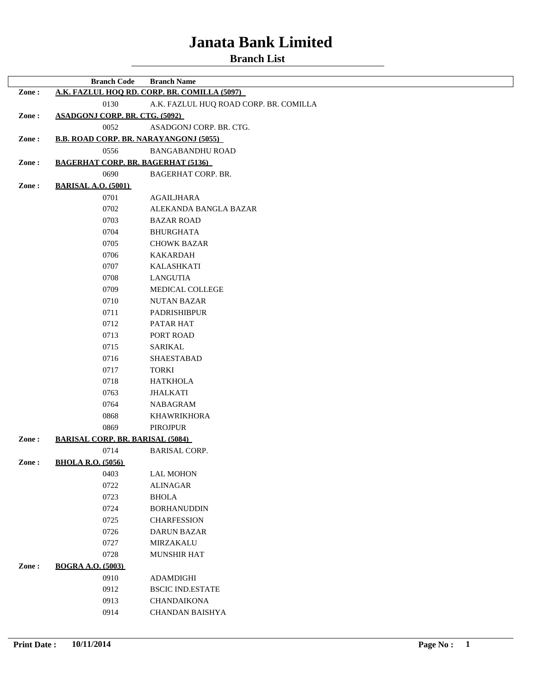|       | <b>Branch Code</b>                            | <b>Branch Name</b>                           |
|-------|-----------------------------------------------|----------------------------------------------|
| Zone: |                                               | A.K. FAZLUL HOO RD. CORP. BR. COMILLA (5097) |
|       | 0130                                          | A.K. FAZLUL HUQ ROAD CORP. BR. COMILLA       |
| Zone: | <b>ASADGONJ CORP. BR. CTG. (5092)</b>         |                                              |
|       | 0052                                          | ASADGONJ CORP. BR. CTG.                      |
| Zone: | <b>B.B. ROAD CORP. BR. NARAYANGONJ (5055)</b> |                                              |
|       | 0556                                          | <b>BANGABANDHU ROAD</b>                      |
| Zone: | <b>BAGERHAT CORP. BR. BAGERHAT (5136)</b>     |                                              |
|       | 0690                                          | <b>BAGERHAT CORP. BR.</b>                    |
| Zone: | <b>BARISAL A.O. (5001)</b>                    |                                              |
|       | 0701                                          | AGAILJHARA                                   |
|       | 0702                                          | ALEKANDA BANGLA BAZAR                        |
|       | 0703                                          | <b>BAZAR ROAD</b>                            |
|       | 0704                                          | <b>BHURGHATA</b>                             |
|       | 0705                                          | <b>CHOWK BAZAR</b>                           |
|       | 0706                                          | <b>KAKARDAH</b>                              |
|       | 0707                                          | <b>KALASHKATI</b>                            |
|       | 0708                                          | LANGUTIA                                     |
|       | 0709                                          | MEDICAL COLLEGE                              |
|       | 0710                                          | <b>NUTAN BAZAR</b>                           |
|       | 0711                                          | <b>PADRISHIBPUR</b>                          |
|       | 0712                                          | PATAR HAT                                    |
|       | 0713                                          | PORT ROAD                                    |
|       | 0715                                          | <b>SARIKAL</b>                               |
|       | 0716                                          | <b>SHAESTABAD</b>                            |
|       | 0717                                          | <b>TORKI</b>                                 |
|       | 0718                                          | <b>HATKHOLA</b>                              |
|       | 0763                                          | <b>JHALKATI</b>                              |
|       | 0764                                          | <b>NABAGRAM</b>                              |
|       | 0868                                          | <b>KHAWRIKHORA</b>                           |
|       | 0869                                          | <b>PIROJPUR</b>                              |
| Zone: | <b>BARISAL CORP. BR. BARISAL (5084)</b>       |                                              |
|       | 0714                                          | <b>BARISAL CORP.</b>                         |
| Zone: | <b>BHOLA R.O. (5056)</b>                      |                                              |
|       | 0403                                          | <b>LAL MOHON</b>                             |
|       | 0722                                          | <b>ALINAGAR</b>                              |
|       | 0723                                          | <b>BHOLA</b>                                 |
|       | 0724                                          | <b>BORHANUDDIN</b>                           |
|       | 0725                                          | <b>CHARFESSION</b>                           |
|       | 0726                                          | <b>DARUN BAZAR</b>                           |
|       | 0727                                          | MIRZAKALU                                    |
|       | 0728                                          | MUNSHIR HAT                                  |
| Zone: | <b>BOGRA A.O. (5003)</b>                      |                                              |
|       | 0910                                          | ADAMDIGHI                                    |
|       | 0912                                          | <b>BSCIC IND.ESTATE</b>                      |
|       | 0913                                          | <b>CHANDAIKONA</b>                           |
|       | 0914                                          | CHANDAN BAISHYA                              |
|       |                                               |                                              |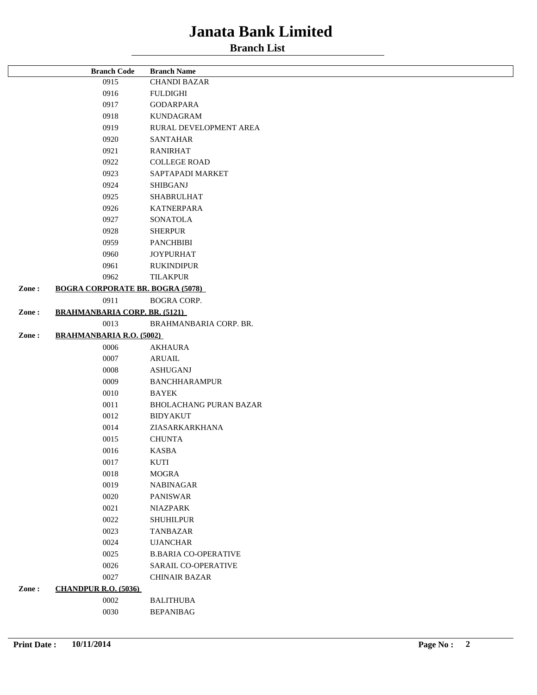|       | <b>Branch Code</b>                      | <b>Branch Name</b>            |
|-------|-----------------------------------------|-------------------------------|
|       | 0915                                    | <b>CHANDI BAZAR</b>           |
|       | 0916                                    | FULDIGHI                      |
|       | 0917                                    | GODARPARA                     |
|       | 0918                                    | <b>KUNDAGRAM</b>              |
|       | 0919                                    | RURAL DEVELOPMENT AREA        |
|       | 0920                                    | <b>SANTAHAR</b>               |
|       | 0921                                    | <b>RANIRHAT</b>               |
|       | 0922                                    | <b>COLLEGE ROAD</b>           |
|       | 0923                                    | SAPTAPADI MARKET              |
|       | 0924                                    | <b>SHIBGANJ</b>               |
|       | 0925                                    | <b>SHABRULHAT</b>             |
|       | 0926                                    | <b>KATNERPARA</b>             |
|       | 0927                                    | <b>SONATOLA</b>               |
|       | 0928                                    | <b>SHERPUR</b>                |
|       | 0959                                    | <b>PANCHBIBI</b>              |
|       | 0960                                    | <b>JOYPURHAT</b>              |
|       | 0961                                    | <b>RUKINDIPUR</b>             |
|       | 0962                                    | <b>TILAKPUR</b>               |
| Zone: | <b>BOGRA CORPORATE BR. BOGRA (5078)</b> |                               |
|       | 0911                                    | <b>BOGRA CORP.</b>            |
| Zone: | <b>BRAHMANBARIA CORP. BR. (5121)</b>    |                               |
|       | 0013                                    | BRAHMANBARIA CORP. BR.        |
| Zone: | <b>BRAHMANBARIA R.O. (5002)</b>         |                               |
|       | 0006                                    | <b>AKHAURA</b>                |
|       | 0007                                    | <b>ARUAIL</b>                 |
|       | 0008                                    | <b>ASHUGANJ</b>               |
|       | 0009                                    | <b>BANCHHARAMPUR</b>          |
|       | 0010                                    | <b>BAYEK</b>                  |
|       | 0011                                    | <b>BHOLACHANG PURAN BAZAR</b> |
|       | 0012                                    | <b>BIDYAKUT</b>               |
|       | 0014                                    | ZIASARKARKHANA                |
|       | 0015                                    | <b>CHUNTA</b>                 |
|       | 0016                                    | <b>KASBA</b>                  |
|       | 0017                                    | KUTI                          |
|       | 0018                                    | <b>MOGRA</b>                  |
|       | 0019                                    | <b>NABINAGAR</b>              |
|       | 0020                                    | <b>PANISWAR</b>               |
|       | 0021                                    | <b>NIAZPARK</b>               |
|       | 0022                                    | <b>SHUHILPUR</b>              |
|       | 0023                                    | <b>TANBAZAR</b>               |
|       | 0024                                    | <b>UJANCHAR</b>               |
|       | 0025                                    | <b>B.BARIA CO-OPERATIVE</b>   |
|       | 0026                                    | SARAIL CO-OPERATIVE           |
|       | 0027                                    | <b>CHINAIR BAZAR</b>          |
| Zone: | <b>CHANDPUR R.O. (5036)</b>             |                               |
|       | 0002                                    | <b>BALITHUBA</b>              |
|       | 0030                                    | <b>BEPANIBAG</b>              |
|       |                                         |                               |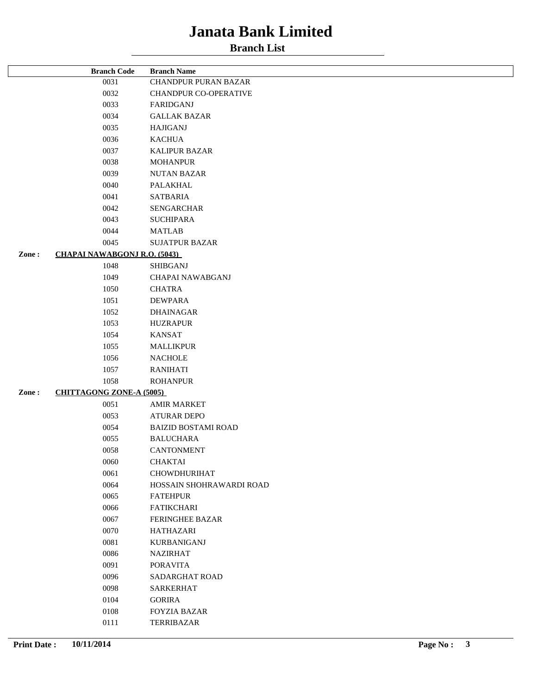|       | <b>Branch Code</b>                  | <b>Branch Name</b>          |
|-------|-------------------------------------|-----------------------------|
|       | 0031                                | <b>CHANDPUR PURAN BAZAR</b> |
|       | 0032                                | CHANDPUR CO-OPERATIVE       |
|       | 0033                                | FARIDGANJ                   |
|       | 0034                                | <b>GALLAK BAZAR</b>         |
|       | 0035                                | <b>HAJIGANJ</b>             |
|       | 0036                                | <b>KACHUA</b>               |
|       | 0037                                | <b>KALIPUR BAZAR</b>        |
|       | 0038                                | <b>MOHANPUR</b>             |
|       | 0039                                | <b>NUTAN BAZAR</b>          |
|       | 0040                                | PALAKHAL                    |
|       | 0041                                | <b>SATBARIA</b>             |
|       | 0042                                | <b>SENGARCHAR</b>           |
|       | 0043                                | <b>SUCHIPARA</b>            |
|       | 0044                                | <b>MATLAB</b>               |
|       | 0045                                | <b>SUJATPUR BAZAR</b>       |
| Zone: | <b>CHAPAI NAWABGONJ R.O. (5043)</b> |                             |
|       | 1048                                | <b>SHIBGANJ</b>             |
|       | 1049                                | CHAPAI NAWABGANJ            |
|       | 1050                                | <b>CHATRA</b>               |
|       | 1051                                | DEWPARA                     |
|       | 1052                                | <b>DHAINAGAR</b>            |
|       | 1053                                | <b>HUZRAPUR</b>             |
|       | 1054                                | <b>KANSAT</b>               |
|       | 1055                                | <b>MALLIKPUR</b>            |
|       | 1056                                | <b>NACHOLE</b>              |
|       | 1057                                | <b>RANIHATI</b>             |
|       | 1058                                | <b>ROHANPUR</b>             |
| Zone: | <b>CHITTAGONG ZONE-A (5005)</b>     |                             |
|       | 0051                                | <b>AMIR MARKET</b>          |
|       | 0053                                | <b>ATURAR DEPO</b>          |
|       | 0054                                | <b>BAIZID BOSTAMI ROAD</b>  |
|       | 0055                                | <b>BALUCHARA</b>            |
|       | 0058                                | <b>CANTONMENT</b>           |
|       | 0060                                | CHAKTAI                     |
|       | 0061                                | <b>CHOWDHURIHAT</b>         |
|       | 0064                                | HOSSAIN SHOHRAWARDI ROAD    |
|       | 0065                                | <b>FATEHPUR</b>             |
|       | 0066                                | <b>FATIKCHARI</b>           |
|       | 0067                                | <b>FERINGHEE BAZAR</b>      |
|       | 0070                                | <b>HATHAZARI</b>            |
|       | 0081                                | <b>KURBANIGANJ</b>          |
|       | 0086                                | <b>NAZIRHAT</b>             |
|       | 0091                                | <b>PORAVITA</b>             |
|       | 0096                                | SADARGHAT ROAD              |
|       | 0098                                | <b>SARKERHAT</b>            |
|       | 0104                                | <b>GORIRA</b>               |
|       | 0108                                | <b>FOYZIA BAZAR</b>         |
|       | 0111                                | TERRIBAZAR                  |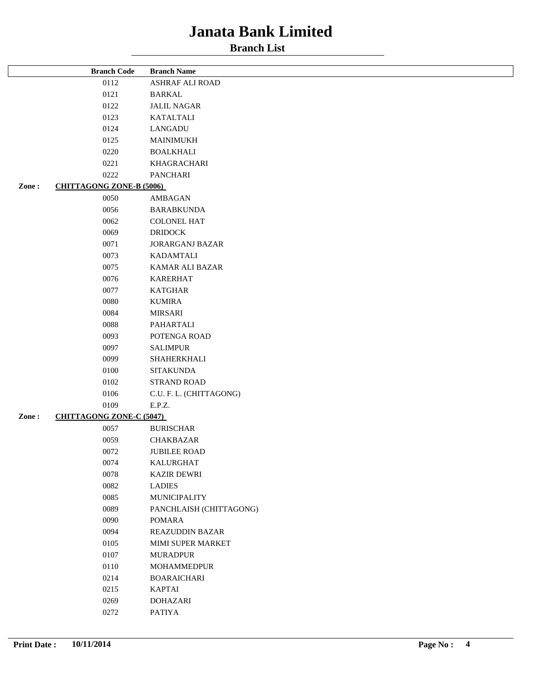|       | <b>Branch Code</b>              | <b>Branch Name</b>      |
|-------|---------------------------------|-------------------------|
|       | 0112                            | ASHRAF ALI ROAD         |
|       | 0121                            | <b>BARKAL</b>           |
|       | 0122                            | <b>JALIL NAGAR</b>      |
|       | 0123                            | <b>KATALTALI</b>        |
|       | 0124                            | LANGADU                 |
|       | 0125                            | <b>MAINIMUKH</b>        |
|       | 0220                            | <b>BOALKHALI</b>        |
|       | 0221                            | KHAGRACHARI             |
|       | 0222                            | <b>PANCHARI</b>         |
| Zone: | <b>CHITTAGONG ZONE-B (5006)</b> |                         |
|       | 0050                            | AMBAGAN                 |
|       | 0056                            | <b>BARABKUNDA</b>       |
|       | 0062                            | <b>COLONEL HAT</b>      |
|       | 0069                            | <b>DRIDOCK</b>          |
|       | 0071                            | <b>JORARGANJ BAZAR</b>  |
|       | 0073                            | <b>KADAMTALI</b>        |
|       | 0075                            | KAMAR ALI BAZAR         |
|       | 0076                            | <b>KARERHAT</b>         |
|       | 0077                            | <b>KATGHAR</b>          |
|       | 0080                            | <b>KUMIRA</b>           |
|       | 0084                            | <b>MIRSARI</b>          |
|       | 0088                            | PAHARTALI               |
|       | 0093                            | POTENGA ROAD            |
|       | 0097                            | <b>SALIMPUR</b>         |
|       | 0099                            | SHAHERKHALI             |
|       | 0100                            | <b>SITAKUNDA</b>        |
|       | 0102                            | <b>STRAND ROAD</b>      |
|       | 0106                            | C.U. F. L. (CHITTAGONG) |
|       | 0109                            | E.P.Z.                  |
| Zone: | <b>CHITTAGONG ZONE-C (5047)</b> |                         |
|       | 0057                            | <b>BURISCHAR</b>        |
|       | 0059                            | CHAKBAZAR               |
|       | 0072                            | <b>JUBILEE ROAD</b>     |
|       | 0074                            | KALURGHAT               |
|       | 0078                            | <b>KAZIR DEWRI</b>      |
|       | 0082                            | <b>LADIES</b>           |
|       | 0085                            | <b>MUNICIPALITY</b>     |
|       | 0089                            | PANCHLAISH (CHITTAGONG) |
|       | 0090                            | POMARA                  |
|       | 0094                            | <b>REAZUDDIN BAZAR</b>  |
|       | 0105                            | MIMI SUPER MARKET       |
|       | 0107                            | <b>MURADPUR</b>         |
|       | 0110                            | <b>MOHAMMEDPUR</b>      |
|       | 0214                            | <b>BOARAICHARI</b>      |
|       | 0215                            | <b>KAPTAI</b>           |
|       | 0269                            | <b>DOHAZARI</b>         |
|       | 0272                            | <b>PATIYA</b>           |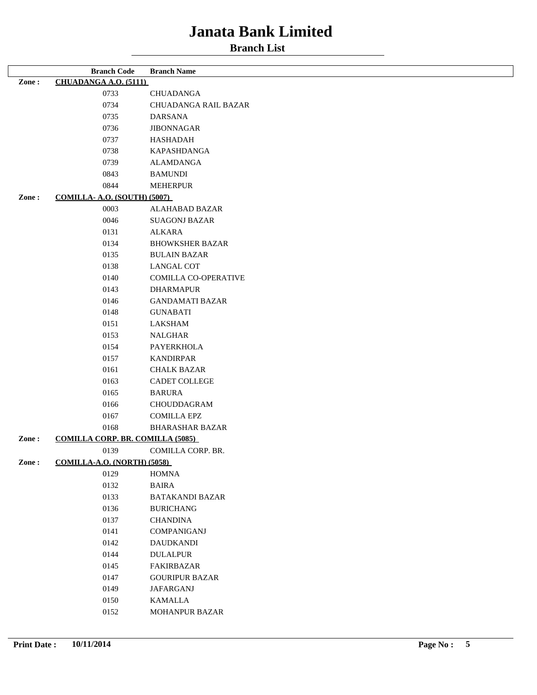|       | <b>Branch Code</b>                      | <b>Branch Name</b>     |
|-------|-----------------------------------------|------------------------|
| Zone: | <b>CHUADANGA A.O. (5111)</b>            |                        |
|       | 0733                                    | <b>CHUADANGA</b>       |
|       | 0734                                    | CHUADANGA RAIL BAZAR   |
|       | 0735                                    | <b>DARSANA</b>         |
|       | 0736                                    | <b>JIBONNAGAR</b>      |
|       | 0737                                    | <b>HASHADAH</b>        |
|       | 0738                                    | KAPASHDANGA            |
|       | 0739                                    | <b>ALAMDANGA</b>       |
|       | 0843                                    | <b>BAMUNDI</b>         |
|       | 0844                                    | <b>MEHERPUR</b>        |
| Zone: | <b>COMILLA- A.O. (SOUTH) (5007)</b>     |                        |
|       | 0003                                    | ALAHABAD BAZAR         |
|       | 0046                                    | <b>SUAGONJ BAZAR</b>   |
|       | 0131                                    | <b>ALKARA</b>          |
|       | 0134                                    | <b>BHOWKSHER BAZAR</b> |
|       | 0135                                    | <b>BULAIN BAZAR</b>    |
|       | 0138                                    | LANGAL COT             |
|       | 0140                                    | COMILLA CO-OPERATIVE   |
|       | 0143                                    | <b>DHARMAPUR</b>       |
|       | 0146                                    | <b>GANDAMATI BAZAR</b> |
|       | 0148                                    | <b>GUNABATI</b>        |
|       | 0151                                    | LAKSHAM                |
|       | 0153                                    | <b>NALGHAR</b>         |
|       | 0154                                    | PAYERKHOLA             |
|       | 0157                                    | <b>KANDIRPAR</b>       |
|       | 0161                                    | <b>CHALK BAZAR</b>     |
|       | 0163                                    | CADET COLLEGE          |
|       | 0165                                    | <b>BARURA</b>          |
|       | 0166                                    | CHOUDDAGRAM            |
|       | 0167                                    | <b>COMILLA EPZ</b>     |
|       | 0168                                    | <b>BHARASHAR BAZAR</b> |
| Zone: | <b>COMILLA CORP. BR. COMILLA (5085)</b> |                        |
|       | 0139                                    | COMILLA CORP. BR.      |
| Zone: | <b>COMILLA-A.O. (NORTH) (5058)</b>      |                        |
|       | 0129                                    | <b>HOMNA</b>           |
|       | 0132                                    | <b>BAIRA</b>           |
|       | 0133                                    | <b>BATAKANDI BAZAR</b> |
|       | 0136                                    | <b>BURICHANG</b>       |
|       | 0137                                    | <b>CHANDINA</b>        |
|       | 0141                                    | COMPANIGANJ            |
|       | 0142                                    | <b>DAUDKANDI</b>       |
|       | 0144                                    | <b>DULALPUR</b>        |
|       | 0145                                    | FAKIRBAZAR             |
|       | 0147                                    | <b>GOURIPUR BAZAR</b>  |
|       | 0149                                    | <b>JAFARGANJ</b>       |
|       | 0150                                    | KAMALLA                |
|       | 0152                                    | MOHANPUR BAZAR         |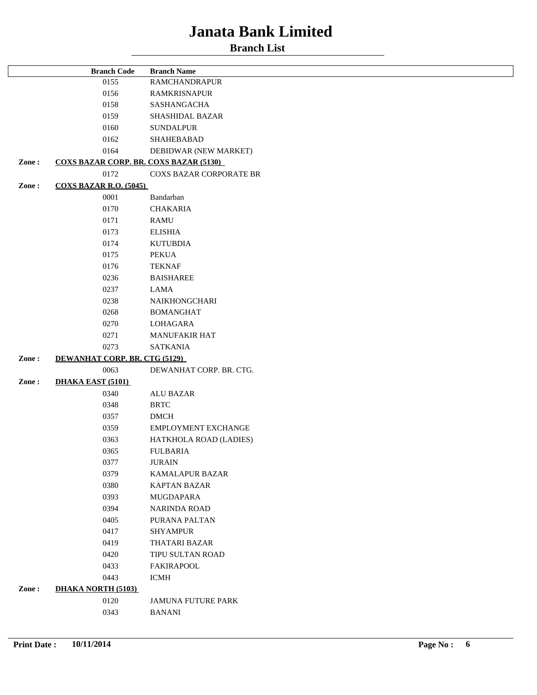|       | <b>Branch Code</b>                            | <b>Branch Name</b>             |
|-------|-----------------------------------------------|--------------------------------|
|       | 0155                                          | <b>RAMCHANDRAPUR</b>           |
|       | 0156                                          | <b>RAMKRISNAPUR</b>            |
|       | 0158                                          | SASHANGACHA                    |
|       | 0159                                          | SHASHIDAL BAZAR                |
|       | 0160                                          | <b>SUNDALPUR</b>               |
|       | 0162                                          | SHAHEBABAD                     |
|       | 0164                                          | DEBIDWAR (NEW MARKET)          |
| Zone: | <b>COXS BAZAR CORP. BR. COXS BAZAR (5130)</b> |                                |
|       | 0172                                          | <b>COXS BAZAR CORPORATE BR</b> |
| Zone: | <b>COXS BAZAR R.O. (5045)</b>                 |                                |
|       | 0001                                          | Bandarban                      |
|       | 0170                                          | <b>CHAKARIA</b>                |
|       | 0171                                          | <b>RAMU</b>                    |
|       | 0173                                          | <b>ELISHIA</b>                 |
|       | 0174                                          | <b>KUTUBDIA</b>                |
|       | 0175                                          | PEKUA                          |
|       | 0176                                          | <b>TEKNAF</b>                  |
|       | 0236                                          | <b>BAISHAREE</b>               |
|       | 0237                                          | LAMA                           |
|       | 0238                                          | NAIKHONGCHARI                  |
|       | 0268                                          | <b>BOMANGHAT</b>               |
|       | 0270                                          | LOHAGARA                       |
|       | 0271                                          | MANUFAKIR HAT                  |
|       | 0273                                          | <b>SATKANIA</b>                |
| Zone: | DEWANHAT CORP. BR. CTG (5129)                 |                                |
|       | 0063                                          | DEWANHAT CORP. BR. CTG.        |
| Zone: | <b>DHAKA EAST (5101)</b>                      |                                |
|       | 0340                                          | <b>ALU BAZAR</b>               |
|       | 0348                                          | <b>BRTC</b>                    |
|       | 0357                                          | $DMCH$                         |
|       | 0359                                          | EMPLOYMENT EXCHANGE            |
|       | 0363                                          | HATKHOLA ROAD (LADIES)         |
|       | 0365                                          | <b>FULBARIA</b>                |
|       | 0377                                          | <b>JURAIN</b>                  |
|       | 0379                                          | <b>KAMALAPUR BAZAR</b>         |
|       | 0380                                          | <b>KAPTAN BAZAR</b>            |
|       | 0393                                          | MUGDAPARA                      |
|       | 0394                                          | <b>NARINDA ROAD</b>            |
|       | 0405                                          | PURANA PALTAN                  |
|       | 0417                                          | <b>SHYAMPUR</b>                |
|       | 0419                                          | THATARI BAZAR                  |
|       | 0420                                          | TIPU SULTAN ROAD               |
|       | 0433                                          | <b>FAKIRAPOOL</b>              |
|       | 0443                                          | <b>ICMH</b>                    |
| Zone: | <b>DHAKA NORTH (5103)</b>                     |                                |
|       |                                               |                                |
|       | 0120                                          | <b>JAMUNA FUTURE PARK</b>      |
|       | 0343                                          | <b>BANANI</b>                  |
|       |                                               |                                |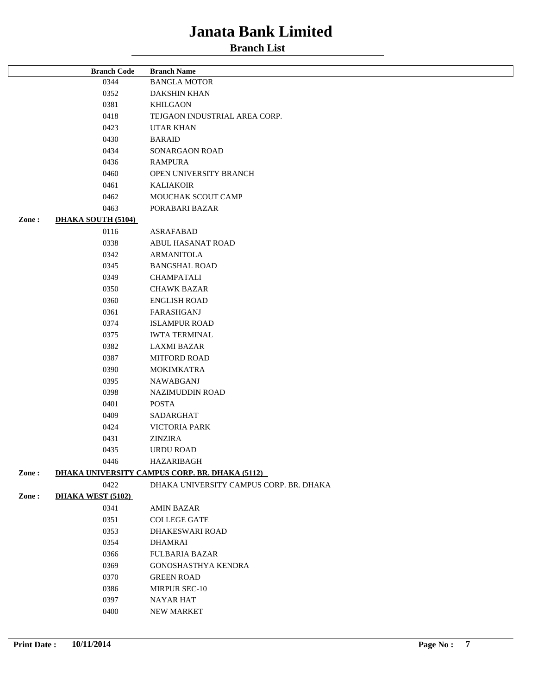|       | <b>Branch Code</b>        | <b>Branch Name</b>                             |
|-------|---------------------------|------------------------------------------------|
|       | 0344                      | <b>BANGLA MOTOR</b>                            |
|       | 0352                      | <b>DAKSHIN KHAN</b>                            |
|       | 0381                      | <b>KHILGAON</b>                                |
|       | 0418                      | TEJGAON INDUSTRIAL AREA CORP.                  |
|       | 0423                      | <b>UTAR KHAN</b>                               |
|       | 0430                      | <b>BARAID</b>                                  |
|       | 0434                      | SONARGAON ROAD                                 |
|       | 0436                      | <b>RAMPURA</b>                                 |
|       | 0460                      | OPEN UNIVERSITY BRANCH                         |
|       | 0461                      | <b>KALIAKOIR</b>                               |
|       | 0462                      | MOUCHAK SCOUT CAMP                             |
|       | 0463                      | PORABARI BAZAR                                 |
| Zone: | <b>DHAKA SOUTH (5104)</b> |                                                |
|       | 0116                      | <b>ASRAFABAD</b>                               |
|       | 0338                      | ABUL HASANAT ROAD                              |
|       | 0342                      | <b>ARMANITOLA</b>                              |
|       | 0345                      | <b>BANGSHAL ROAD</b>                           |
|       | 0349                      | <b>CHAMPATALI</b>                              |
|       | 0350                      | <b>CHAWK BAZAR</b>                             |
|       | 0360                      | <b>ENGLISH ROAD</b>                            |
|       | 0361                      | FARASHGANJ                                     |
|       | 0374                      | <b>ISLAMPUR ROAD</b>                           |
|       | 0375                      | <b>IWTA TERMINAL</b>                           |
|       | 0382                      |                                                |
|       |                           | <b>LAXMI BAZAR</b>                             |
|       | 0387                      | <b>MITFORD ROAD</b>                            |
|       | 0390                      | <b>MOKIMKATRA</b>                              |
|       | 0395                      | NAWABGANJ                                      |
|       | 0398                      | NAZIMUDDIN ROAD                                |
|       | 0401                      | <b>POSTA</b>                                   |
|       | 0409                      | SADARGHAT                                      |
|       | 0424                      | VICTORIA PARK                                  |
|       | 0431                      | <b>ZINZIRA</b>                                 |
|       | 0435                      | <b>URDU ROAD</b>                               |
|       | 0446                      | HAZARIBAGH                                     |
| Zone: |                           | DHAKA UNIVERSITY CAMPUS CORP. BR. DHAKA (5112) |
|       | 0422                      | DHAKA UNIVERSITY CAMPUS CORP. BR. DHAKA        |
| Zone: | <b>DHAKA WEST (5102)</b>  |                                                |
|       | 0341                      | <b>AMIN BAZAR</b>                              |
|       | 0351                      | <b>COLLEGE GATE</b>                            |
|       | 0353                      | DHAKESWARI ROAD                                |
|       | 0354                      | <b>DHAMRAI</b>                                 |
|       | 0366                      | <b>FULBARIA BAZAR</b>                          |
|       | 0369                      | <b>GONOSHASTHYA KENDRA</b>                     |
|       | 0370                      | <b>GREEN ROAD</b>                              |
|       | 0386                      | MIRPUR SEC-10                                  |
|       | 0397                      | <b>NAYAR HAT</b>                               |
|       | 0400                      | NEW MARKET                                     |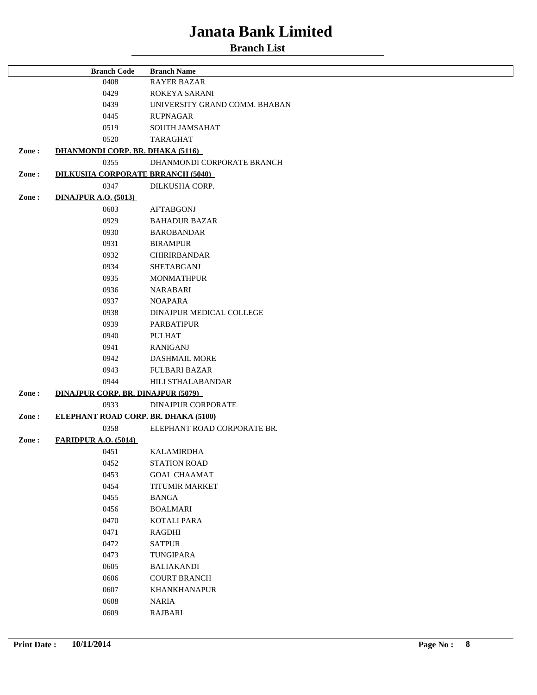|       | <b>Branch Code</b>                          | <b>Branch Name</b>            |
|-------|---------------------------------------------|-------------------------------|
|       | 0408                                        | <b>RAYER BAZAR</b>            |
|       | 0429                                        | ROKEYA SARANI                 |
|       | 0439                                        | UNIVERSITY GRAND COMM. BHABAN |
|       | 0445                                        | <b>RUPNAGAR</b>               |
|       | 0519                                        | <b>SOUTH JAMSAHAT</b>         |
|       | 0520                                        | TARAGHAT                      |
| Zone: | <b>DHANMONDI CORP. BR. DHAKA (5116)</b>     |                               |
|       | 0355                                        | DHANMONDI CORPORATE BRANCH    |
| Zone: | <b>DILKUSHA CORPORATE BRRANCH (5040)</b>    |                               |
|       | 0347                                        | DILKUSHA CORP.                |
| Zone: | <b>DINAJPUR A.O. (5013)</b>                 |                               |
|       | 0603                                        | <b>AFTABGONJ</b>              |
|       | 0929                                        | <b>BAHADUR BAZAR</b>          |
|       | 0930                                        | <b>BAROBANDAR</b>             |
|       | 0931                                        | <b>BIRAMPUR</b>               |
|       | 0932                                        | <b>CHIRIRBANDAR</b>           |
|       | 0934                                        | <b>SHETABGANJ</b>             |
|       | 0935                                        | <b>MONMATHPUR</b>             |
|       | 0936                                        | <b>NARABARI</b>               |
|       | 0937                                        | <b>NOAPARA</b>                |
|       | 0938                                        | DINAJPUR MEDICAL COLLEGE      |
|       | 0939                                        | <b>PARBATIPUR</b>             |
|       | 0940                                        | <b>PULHAT</b>                 |
|       | 0941                                        | <b>RANIGANJ</b>               |
|       | 0942                                        | <b>DASHMAIL MORE</b>          |
|       | 0943                                        | <b>FULBARI BAZAR</b>          |
|       | 0944                                        | HILI STHALABANDAR             |
| Zone: | <b>DINAJPUR CORP. BR. DINAJPUR (5079)</b>   |                               |
|       | 0933                                        | <b>DINAJPUR CORPORATE</b>     |
| Zone: | <b>ELEPHANT ROAD CORP. BR. DHAKA (5100)</b> |                               |
|       | 0358                                        | ELEPHANT ROAD CORPORATE BR.   |
| Zone: | <b>FARIDPUR A.O. (5014)</b>                 |                               |
|       | 0451                                        | <b>KALAMIRDHA</b>             |
|       | 0452                                        | <b>STATION ROAD</b>           |
|       | 0453                                        | <b>GOAL CHAAMAT</b>           |
|       | 0454                                        | <b>TITUMIR MARKET</b>         |
|       | 0455                                        | <b>BANGA</b>                  |
|       | 0456                                        | <b>BOALMARI</b>               |
|       | 0470                                        | <b>KOTALI PARA</b>            |
|       | 0471                                        | RAGDHI                        |
|       | 0472                                        | <b>SATPUR</b>                 |
|       | 0473                                        | TUNGIPARA                     |
|       | 0605                                        | <b>BALIAKANDI</b>             |
|       | 0606                                        | <b>COURT BRANCH</b>           |
|       | 0607                                        | <b>KHANKHANAPUR</b>           |
|       | 0608                                        | <b>NARIA</b>                  |
|       | 0609                                        | RAJBARI                       |
|       |                                             |                               |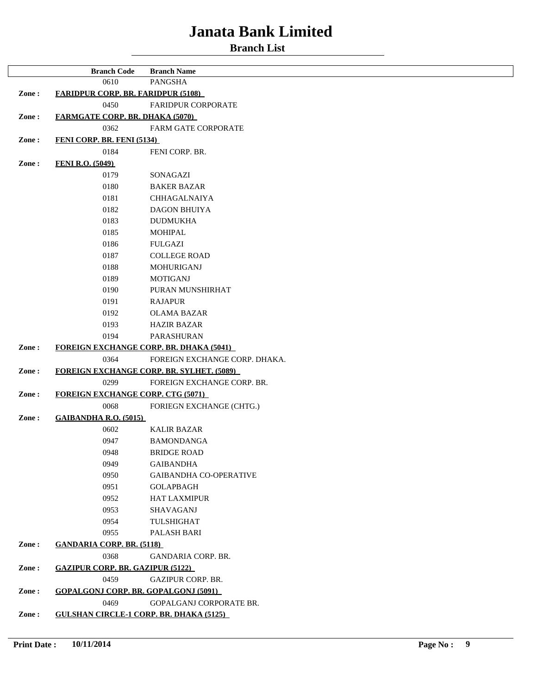|       | <b>Branch Code</b>                             | <b>Branch Name</b>                               |
|-------|------------------------------------------------|--------------------------------------------------|
|       | 0610                                           | <b>PANGSHA</b>                                   |
| Zone: | <b>FARIDPUR CORP. BR. FARIDPUR (5108)</b>      |                                                  |
|       | 0450                                           | FARIDPUR CORPORATE                               |
| Zone: | <b>FARMGATE CORP. BR. DHAKA (5070)</b>         |                                                  |
|       | 0362                                           | <b>FARM GATE CORPORATE</b>                       |
| Zone: | <b>FENI CORP. BR. FENI (5134)</b>              |                                                  |
|       | 0184                                           | FENI CORP. BR.                                   |
| Zone: | <b>FENI R.O. (5049)</b>                        |                                                  |
|       | 0179                                           | SONAGAZI                                         |
|       | 0180                                           | <b>BAKER BAZAR</b>                               |
|       | 0181                                           | <b>CHHAGALNAIYA</b>                              |
|       | 0182                                           | <b>DAGON BHUIYA</b>                              |
|       | 0183                                           | <b>DUDMUKHA</b>                                  |
|       | 0185                                           | <b>MOHIPAL</b>                                   |
|       | 0186                                           | <b>FULGAZI</b>                                   |
|       | 0187                                           | <b>COLLEGE ROAD</b>                              |
|       | 0188                                           | MOHURIGANJ                                       |
|       | 0189                                           | <b>MOTIGANJ</b>                                  |
|       | 0190                                           | PURAN MUNSHIRHAT                                 |
|       | 0191                                           | <b>RAJAPUR</b>                                   |
|       | 0192                                           | <b>OLAMA BAZAR</b>                               |
|       | 0193                                           | <b>HAZIR BAZAR</b>                               |
|       | 0194                                           | PARASHURAN                                       |
| Zone: |                                                | <b>FOREIGN EXCHANGE CORP. BR. DHAKA (5041)</b>   |
|       | 0364                                           | FOREIGN EXCHANGE CORP. DHAKA.                    |
| Zone: |                                                | <b>FOREIGN EXCHANGE CORP. BR. SYLHET. (5089)</b> |
|       | 0299                                           | FOREIGN EXCHANGE CORP. BR.                       |
| Zone: | <b>FOREIGN EXCHANGE CORP. CTG (5071)</b>       |                                                  |
|       | 0068                                           | FORIEGN EXCHANGE (CHTG.)                         |
| Zone: | <b>GAIBANDHA R.O. (5015)</b>                   |                                                  |
|       | 0602                                           | <b>KALIR BAZAR</b>                               |
|       | 0947                                           | <b>BAMONDANGA</b>                                |
|       | 0948                                           | <b>BRIDGE ROAD</b>                               |
|       | 0949                                           | <b>GAIBANDHA</b>                                 |
|       | 0950                                           | <b>GAIBANDHA CO-OPERATIVE</b>                    |
|       | 0951                                           | <b>GOLAPBAGH</b>                                 |
|       | 0952                                           | <b>HAT LAXMIPUR</b>                              |
|       | 0953                                           | SHAVAGANJ                                        |
|       | 0954                                           | TULSHIGHAT                                       |
|       | 0955                                           | PALASH BARI                                      |
| Zone: | <b>GANDARIA CORP. BR. (5118)</b>               |                                                  |
|       | 0368                                           | <b>GANDARIA CORP. BR.</b>                        |
| Zone: | <b>GAZIPUR CORP. BR. GAZIPUR (5122)</b>        |                                                  |
|       | 0459                                           | GAZIPUR CORP. BR.                                |
| Zone: | <b>GOPALGONJ CORP. BR. GOPALGONJ (5091)</b>    |                                                  |
|       | 0469                                           | GOPALGANJ CORPORATE BR.                          |
| Zone: | <b>GULSHAN CIRCLE-1 CORP. BR. DHAKA (5125)</b> |                                                  |
|       |                                                |                                                  |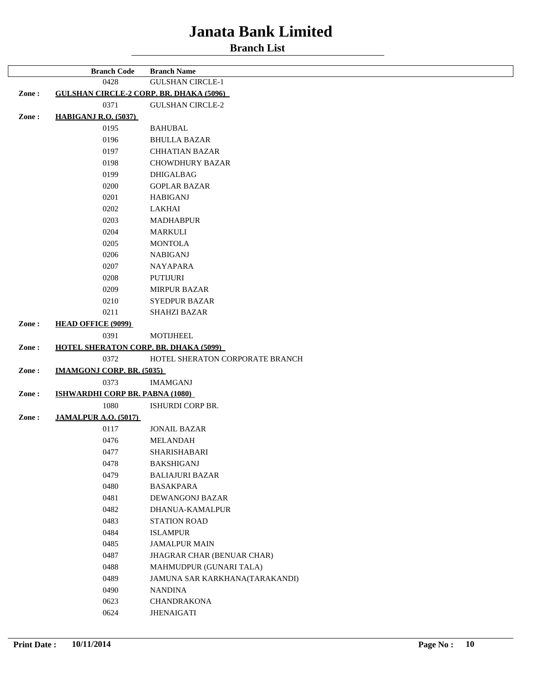|       | <b>Branch Code</b>                             | <b>Branch Name</b>              |
|-------|------------------------------------------------|---------------------------------|
|       | 0428                                           | <b>GULSHAN CIRCLE-1</b>         |
| Zone: | <b>GULSHAN CIRCLE-2 CORP. BR. DHAKA (5096)</b> |                                 |
|       | 0371                                           | <b>GULSHAN CIRCLE-2</b>         |
| Zone: | <b>HABIGANJ R.O. (5037)</b>                    |                                 |
|       | 0195                                           | <b>BAHUBAL</b>                  |
|       | 0196                                           | <b>BHULLA BAZAR</b>             |
|       | 0197                                           | <b>CHHATIAN BAZAR</b>           |
|       | 0198                                           | <b>CHOWDHURY BAZAR</b>          |
|       | 0199                                           | <b>DHIGALBAG</b>                |
|       | 0200                                           | <b>GOPLAR BAZAR</b>             |
|       | 0201                                           | <b>HABIGANJ</b>                 |
|       | 0202                                           | LAKHAI                          |
|       | 0203                                           | <b>MADHABPUR</b>                |
|       | 0204                                           | MARKULI                         |
|       | 0205                                           | <b>MONTOLA</b>                  |
|       | 0206                                           | <b>NABIGANJ</b>                 |
|       | 0207                                           | <b>NAYAPARA</b>                 |
|       | 0208                                           | <b>PUTIJURI</b>                 |
|       | 0209                                           | <b>MIRPUR BAZAR</b>             |
|       | 0210                                           | <b>SYEDPUR BAZAR</b>            |
|       | 0211                                           | <b>SHAHZI BAZAR</b>             |
| Zone: | <b>HEAD OFFICE (9099)</b>                      |                                 |
|       | 0391                                           | <b>MOTIJHEEL</b>                |
| Zone: | <b>HOTEL SHERATON CORP. BR. DHAKA (5099)</b>   |                                 |
|       | 0372                                           | HOTEL SHERATON CORPORATE BRANCH |
| Zone: | <b>IMAMGONJ CORP. BR. (5035)</b>               |                                 |
|       | 0373                                           | <b>IMAMGANJ</b>                 |
| Zone: | <b>ISHWARDHI CORP BR. PABNA (1080)</b>         |                                 |
|       | 1080                                           | ISHURDI CORP BR.                |
| Zone: | <b>JAMALPUR A.O. (5017)</b>                    |                                 |
|       | 0117                                           | <b>JONAIL BAZAR</b>             |
|       | 0476                                           | <b>MELANDAH</b>                 |
|       | 0477                                           | SHARISHABARI                    |
|       | 0478                                           | <b>BAKSHIGANJ</b>               |
|       | 0479                                           | <b>BALIAJURI BAZAR</b>          |
|       | 0480                                           | <b>BASAKPARA</b>                |
|       | 0481                                           | <b>DEWANGONJ BAZAR</b>          |
|       | 0482                                           | <b>DHANUA-KAMALPUR</b>          |
|       | 0483                                           | <b>STATION ROAD</b>             |
|       | 0484                                           | <b>ISLAMPUR</b>                 |
|       | 0485                                           | <b>JAMALPUR MAIN</b>            |
|       | 0487                                           | JHAGRAR CHAR (BENUAR CHAR)      |
|       | 0488                                           | MAHMUDPUR (GUNARI TALA)         |
|       | 0489                                           | JAMUNA SAR KARKHANA(TARAKANDI)  |
|       | 0490                                           | NANDINA                         |
|       | 0623                                           | CHANDRAKONA                     |
|       | 0624                                           | <b>JHENAIGATI</b>               |
|       |                                                |                                 |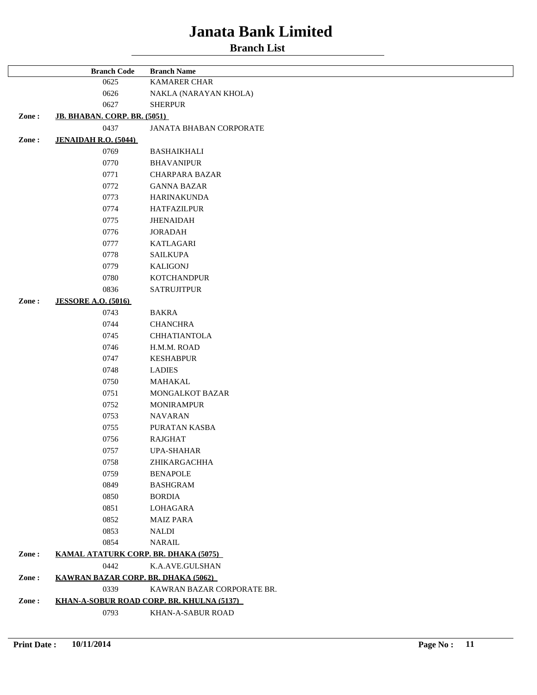| 0625<br><b>KAMARER CHAR</b><br>0626<br>NAKLA (NARAYAN KHOLA)<br>0627<br><b>SHERPUR</b><br>Zone:<br>JB. BHABAN. CORP. BR. (5051)<br>0437<br><b>JANATA BHABAN CORPORATE</b><br>Zone:<br><b>JENAIDAH R.O. (5044)</b><br>0769<br><b>BASHAIKHALI</b><br>0770<br><b>BHAVANIPUR</b><br>0771<br>CHARPARA BAZAR<br>0772<br><b>GANNA BAZAR</b><br>0773<br><b>HARINAKUNDA</b><br>0774<br><b>HATFAZILPUR</b><br>0775<br><b>JHENAIDAH</b><br>0776<br><b>JORADAH</b><br>0777<br><b>KATLAGARI</b><br>0778<br><b>SAILKUPA</b><br>0779<br><b>KALIGONJ</b><br>0780<br><b>KOTCHANDPUR</b><br>0836<br><b>SATRUJITPUR</b><br>Zone:<br><b>JESSORE A.O. (5016)</b><br>0743<br><b>BAKRA</b><br>0744<br><b>CHANCHRA</b><br>0745<br><b>CHHATIANTOLA</b><br>0746<br>H.M.M. ROAD<br>0747<br><b>KESHABPUR</b><br>0748<br><b>LADIES</b><br>0750<br>MAHAKAL<br>0751<br>MONGALKOT BAZAR<br>0752<br><b>MONIRAMPUR</b><br>0753<br><b>NAVARAN</b><br>0755<br>PURATAN KASBA<br>0756<br><b>RAJGHAT</b><br>0757<br><b>UPA-SHAHAR</b><br>0758<br>ZHIKARGACHHA<br>0759<br><b>BENAPOLE</b><br>0849<br><b>BASHGRAM</b><br>0850<br><b>BORDIA</b><br>0851<br>LOHAGARA<br>0852<br><b>MAIZ PARA</b><br>0853<br><b>NALDI</b><br>0854<br>NARAIL<br>Zone:<br>KAMAL ATATURK CORP. BR. DHAKA (5075)<br>0442<br>K.A.AVE.GULSHAN<br>Zone:<br><b>KAWRAN BAZAR CORP. BR. DHAKA (5062)</b><br>0339<br>KAWRAN BAZAR CORPORATE BR.<br>Zone:<br>KHAN-A-SOBUR ROAD CORP. BR. KHULNA (5137) | <b>Branch Code</b> | <b>Branch Name</b> |
|--------------------------------------------------------------------------------------------------------------------------------------------------------------------------------------------------------------------------------------------------------------------------------------------------------------------------------------------------------------------------------------------------------------------------------------------------------------------------------------------------------------------------------------------------------------------------------------------------------------------------------------------------------------------------------------------------------------------------------------------------------------------------------------------------------------------------------------------------------------------------------------------------------------------------------------------------------------------------------------------------------------------------------------------------------------------------------------------------------------------------------------------------------------------------------------------------------------------------------------------------------------------------------------------------------------------------------------------------------------------------------------------------------------------------------|--------------------|--------------------|
|                                                                                                                                                                                                                                                                                                                                                                                                                                                                                                                                                                                                                                                                                                                                                                                                                                                                                                                                                                                                                                                                                                                                                                                                                                                                                                                                                                                                                                |                    |                    |
|                                                                                                                                                                                                                                                                                                                                                                                                                                                                                                                                                                                                                                                                                                                                                                                                                                                                                                                                                                                                                                                                                                                                                                                                                                                                                                                                                                                                                                |                    |                    |
|                                                                                                                                                                                                                                                                                                                                                                                                                                                                                                                                                                                                                                                                                                                                                                                                                                                                                                                                                                                                                                                                                                                                                                                                                                                                                                                                                                                                                                |                    |                    |
|                                                                                                                                                                                                                                                                                                                                                                                                                                                                                                                                                                                                                                                                                                                                                                                                                                                                                                                                                                                                                                                                                                                                                                                                                                                                                                                                                                                                                                |                    |                    |
|                                                                                                                                                                                                                                                                                                                                                                                                                                                                                                                                                                                                                                                                                                                                                                                                                                                                                                                                                                                                                                                                                                                                                                                                                                                                                                                                                                                                                                |                    |                    |
|                                                                                                                                                                                                                                                                                                                                                                                                                                                                                                                                                                                                                                                                                                                                                                                                                                                                                                                                                                                                                                                                                                                                                                                                                                                                                                                                                                                                                                |                    |                    |
|                                                                                                                                                                                                                                                                                                                                                                                                                                                                                                                                                                                                                                                                                                                                                                                                                                                                                                                                                                                                                                                                                                                                                                                                                                                                                                                                                                                                                                |                    |                    |
|                                                                                                                                                                                                                                                                                                                                                                                                                                                                                                                                                                                                                                                                                                                                                                                                                                                                                                                                                                                                                                                                                                                                                                                                                                                                                                                                                                                                                                |                    |                    |
|                                                                                                                                                                                                                                                                                                                                                                                                                                                                                                                                                                                                                                                                                                                                                                                                                                                                                                                                                                                                                                                                                                                                                                                                                                                                                                                                                                                                                                |                    |                    |
|                                                                                                                                                                                                                                                                                                                                                                                                                                                                                                                                                                                                                                                                                                                                                                                                                                                                                                                                                                                                                                                                                                                                                                                                                                                                                                                                                                                                                                |                    |                    |
|                                                                                                                                                                                                                                                                                                                                                                                                                                                                                                                                                                                                                                                                                                                                                                                                                                                                                                                                                                                                                                                                                                                                                                                                                                                                                                                                                                                                                                |                    |                    |
|                                                                                                                                                                                                                                                                                                                                                                                                                                                                                                                                                                                                                                                                                                                                                                                                                                                                                                                                                                                                                                                                                                                                                                                                                                                                                                                                                                                                                                |                    |                    |
|                                                                                                                                                                                                                                                                                                                                                                                                                                                                                                                                                                                                                                                                                                                                                                                                                                                                                                                                                                                                                                                                                                                                                                                                                                                                                                                                                                                                                                |                    |                    |
|                                                                                                                                                                                                                                                                                                                                                                                                                                                                                                                                                                                                                                                                                                                                                                                                                                                                                                                                                                                                                                                                                                                                                                                                                                                                                                                                                                                                                                |                    |                    |
|                                                                                                                                                                                                                                                                                                                                                                                                                                                                                                                                                                                                                                                                                                                                                                                                                                                                                                                                                                                                                                                                                                                                                                                                                                                                                                                                                                                                                                |                    |                    |
|                                                                                                                                                                                                                                                                                                                                                                                                                                                                                                                                                                                                                                                                                                                                                                                                                                                                                                                                                                                                                                                                                                                                                                                                                                                                                                                                                                                                                                |                    |                    |
|                                                                                                                                                                                                                                                                                                                                                                                                                                                                                                                                                                                                                                                                                                                                                                                                                                                                                                                                                                                                                                                                                                                                                                                                                                                                                                                                                                                                                                |                    |                    |
|                                                                                                                                                                                                                                                                                                                                                                                                                                                                                                                                                                                                                                                                                                                                                                                                                                                                                                                                                                                                                                                                                                                                                                                                                                                                                                                                                                                                                                |                    |                    |
|                                                                                                                                                                                                                                                                                                                                                                                                                                                                                                                                                                                                                                                                                                                                                                                                                                                                                                                                                                                                                                                                                                                                                                                                                                                                                                                                                                                                                                |                    |                    |
|                                                                                                                                                                                                                                                                                                                                                                                                                                                                                                                                                                                                                                                                                                                                                                                                                                                                                                                                                                                                                                                                                                                                                                                                                                                                                                                                                                                                                                |                    |                    |
|                                                                                                                                                                                                                                                                                                                                                                                                                                                                                                                                                                                                                                                                                                                                                                                                                                                                                                                                                                                                                                                                                                                                                                                                                                                                                                                                                                                                                                |                    |                    |
|                                                                                                                                                                                                                                                                                                                                                                                                                                                                                                                                                                                                                                                                                                                                                                                                                                                                                                                                                                                                                                                                                                                                                                                                                                                                                                                                                                                                                                |                    |                    |
|                                                                                                                                                                                                                                                                                                                                                                                                                                                                                                                                                                                                                                                                                                                                                                                                                                                                                                                                                                                                                                                                                                                                                                                                                                                                                                                                                                                                                                |                    |                    |
|                                                                                                                                                                                                                                                                                                                                                                                                                                                                                                                                                                                                                                                                                                                                                                                                                                                                                                                                                                                                                                                                                                                                                                                                                                                                                                                                                                                                                                |                    |                    |
|                                                                                                                                                                                                                                                                                                                                                                                                                                                                                                                                                                                                                                                                                                                                                                                                                                                                                                                                                                                                                                                                                                                                                                                                                                                                                                                                                                                                                                |                    |                    |
|                                                                                                                                                                                                                                                                                                                                                                                                                                                                                                                                                                                                                                                                                                                                                                                                                                                                                                                                                                                                                                                                                                                                                                                                                                                                                                                                                                                                                                |                    |                    |
|                                                                                                                                                                                                                                                                                                                                                                                                                                                                                                                                                                                                                                                                                                                                                                                                                                                                                                                                                                                                                                                                                                                                                                                                                                                                                                                                                                                                                                |                    |                    |
|                                                                                                                                                                                                                                                                                                                                                                                                                                                                                                                                                                                                                                                                                                                                                                                                                                                                                                                                                                                                                                                                                                                                                                                                                                                                                                                                                                                                                                |                    |                    |
|                                                                                                                                                                                                                                                                                                                                                                                                                                                                                                                                                                                                                                                                                                                                                                                                                                                                                                                                                                                                                                                                                                                                                                                                                                                                                                                                                                                                                                |                    |                    |
|                                                                                                                                                                                                                                                                                                                                                                                                                                                                                                                                                                                                                                                                                                                                                                                                                                                                                                                                                                                                                                                                                                                                                                                                                                                                                                                                                                                                                                |                    |                    |
|                                                                                                                                                                                                                                                                                                                                                                                                                                                                                                                                                                                                                                                                                                                                                                                                                                                                                                                                                                                                                                                                                                                                                                                                                                                                                                                                                                                                                                |                    |                    |
|                                                                                                                                                                                                                                                                                                                                                                                                                                                                                                                                                                                                                                                                                                                                                                                                                                                                                                                                                                                                                                                                                                                                                                                                                                                                                                                                                                                                                                |                    |                    |
|                                                                                                                                                                                                                                                                                                                                                                                                                                                                                                                                                                                                                                                                                                                                                                                                                                                                                                                                                                                                                                                                                                                                                                                                                                                                                                                                                                                                                                |                    |                    |
|                                                                                                                                                                                                                                                                                                                                                                                                                                                                                                                                                                                                                                                                                                                                                                                                                                                                                                                                                                                                                                                                                                                                                                                                                                                                                                                                                                                                                                |                    |                    |
|                                                                                                                                                                                                                                                                                                                                                                                                                                                                                                                                                                                                                                                                                                                                                                                                                                                                                                                                                                                                                                                                                                                                                                                                                                                                                                                                                                                                                                |                    |                    |
|                                                                                                                                                                                                                                                                                                                                                                                                                                                                                                                                                                                                                                                                                                                                                                                                                                                                                                                                                                                                                                                                                                                                                                                                                                                                                                                                                                                                                                |                    |                    |
|                                                                                                                                                                                                                                                                                                                                                                                                                                                                                                                                                                                                                                                                                                                                                                                                                                                                                                                                                                                                                                                                                                                                                                                                                                                                                                                                                                                                                                |                    |                    |
|                                                                                                                                                                                                                                                                                                                                                                                                                                                                                                                                                                                                                                                                                                                                                                                                                                                                                                                                                                                                                                                                                                                                                                                                                                                                                                                                                                                                                                |                    |                    |
|                                                                                                                                                                                                                                                                                                                                                                                                                                                                                                                                                                                                                                                                                                                                                                                                                                                                                                                                                                                                                                                                                                                                                                                                                                                                                                                                                                                                                                |                    |                    |
|                                                                                                                                                                                                                                                                                                                                                                                                                                                                                                                                                                                                                                                                                                                                                                                                                                                                                                                                                                                                                                                                                                                                                                                                                                                                                                                                                                                                                                |                    |                    |
|                                                                                                                                                                                                                                                                                                                                                                                                                                                                                                                                                                                                                                                                                                                                                                                                                                                                                                                                                                                                                                                                                                                                                                                                                                                                                                                                                                                                                                |                    |                    |
|                                                                                                                                                                                                                                                                                                                                                                                                                                                                                                                                                                                                                                                                                                                                                                                                                                                                                                                                                                                                                                                                                                                                                                                                                                                                                                                                                                                                                                |                    |                    |
|                                                                                                                                                                                                                                                                                                                                                                                                                                                                                                                                                                                                                                                                                                                                                                                                                                                                                                                                                                                                                                                                                                                                                                                                                                                                                                                                                                                                                                |                    |                    |
|                                                                                                                                                                                                                                                                                                                                                                                                                                                                                                                                                                                                                                                                                                                                                                                                                                                                                                                                                                                                                                                                                                                                                                                                                                                                                                                                                                                                                                |                    |                    |
|                                                                                                                                                                                                                                                                                                                                                                                                                                                                                                                                                                                                                                                                                                                                                                                                                                                                                                                                                                                                                                                                                                                                                                                                                                                                                                                                                                                                                                |                    |                    |
|                                                                                                                                                                                                                                                                                                                                                                                                                                                                                                                                                                                                                                                                                                                                                                                                                                                                                                                                                                                                                                                                                                                                                                                                                                                                                                                                                                                                                                |                    |                    |
|                                                                                                                                                                                                                                                                                                                                                                                                                                                                                                                                                                                                                                                                                                                                                                                                                                                                                                                                                                                                                                                                                                                                                                                                                                                                                                                                                                                                                                | 0793               | KHAN-A-SABUR ROAD  |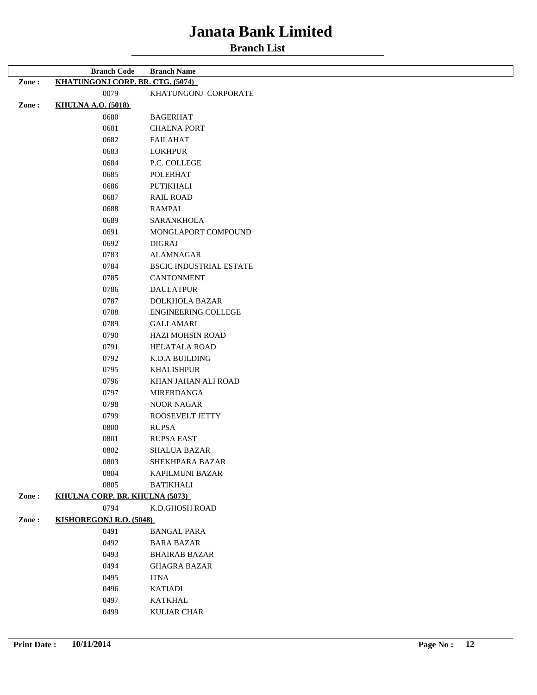#### **Branch List**

|       | <b>Branch Code</b>                      | <b>Branch Name</b>             |
|-------|-----------------------------------------|--------------------------------|
| Zone: | <b>KHATUNGONJ CORP. BR. CTG. (5074)</b> |                                |
|       | 0079                                    | KHATUNGONJ CORPORATE           |
| Zone: | <b>KHULNA A.O. (5018)</b>               |                                |
|       | 0680                                    | <b>BAGERHAT</b>                |
|       | 0681                                    | <b>CHALNA PORT</b>             |
|       | 0682                                    | <b>FAILAHAT</b>                |
|       | 0683                                    | <b>LOKHPUR</b>                 |
|       | 0684                                    | P.C. COLLEGE                   |
|       | 0685                                    | <b>POLERHAT</b>                |
|       | 0686                                    | PUTIKHALI                      |
|       | 0687                                    | <b>RAIL ROAD</b>               |
|       | 0688                                    | <b>RAMPAL</b>                  |
|       | 0689                                    | <b>SARANKHOLA</b>              |
|       | 0691                                    | MONGLAPORT COMPOUND            |
|       | 0692                                    | <b>DIGRAJ</b>                  |
|       | 0783                                    | <b>ALAMNAGAR</b>               |
|       | 0784                                    | <b>BSCIC INDUSTRIAL ESTATE</b> |
|       | 0785                                    | <b>CANTONMENT</b>              |
|       | 0786                                    | <b>DAULATPUR</b>               |
|       | 0787                                    | <b>DOLKHOLA BAZAR</b>          |
|       | 0788                                    | <b>ENGINEERING COLLEGE</b>     |
|       | 0789                                    | <b>GALLAMARI</b>               |
|       | 0790                                    | HAZI MOHSIN ROAD               |
|       | 0791                                    | <b>HELATALA ROAD</b>           |
|       | 0792                                    | K.D.A BUILDING                 |
|       | 0795                                    | <b>KHALISHPUR</b>              |
|       | 0796                                    | KHAN JAHAN ALI ROAD            |
|       | 0797                                    | <b>MIRERDANGA</b>              |
|       | 0798                                    | <b>NOOR NAGAR</b>              |
|       | 0799                                    | ROOSEVELT JETTY                |
|       | 0800                                    | <b>RUPSA</b>                   |
|       | 0801                                    | <b>RUPSA EAST</b>              |
|       | 0802                                    | <b>SHALUA BAZAR</b>            |
|       | 0803                                    | SHEKHPARA BAZAR                |
|       | 0804                                    | KAPILMUNI BAZAR                |
|       | 0805                                    | <b>BATIKHALI</b>               |
| Zone: | KHULNA CORP. BR. KHULNA (5073)          |                                |
|       | 0794                                    | K.D.GHOSH ROAD                 |
| Zone: | <b>KISHOREGONJ R.O. (5048)</b>          |                                |
|       | 0491                                    | <b>BANGAL PARA</b>             |
|       | 0492                                    | <b>BARA BAZAR</b>              |
|       | 0493                                    | <b>BHAIRAB BAZAR</b>           |
|       | 0494                                    | <b>GHAGRA BAZAR</b>            |
|       | 0495                                    | <b>ITNA</b>                    |
|       | 0496                                    | <b>KATIADI</b>                 |
|       | 0497                                    | <b>KATKHAL</b>                 |
|       | 0499                                    | <b>KULIAR CHAR</b>             |

 $\overline{r}$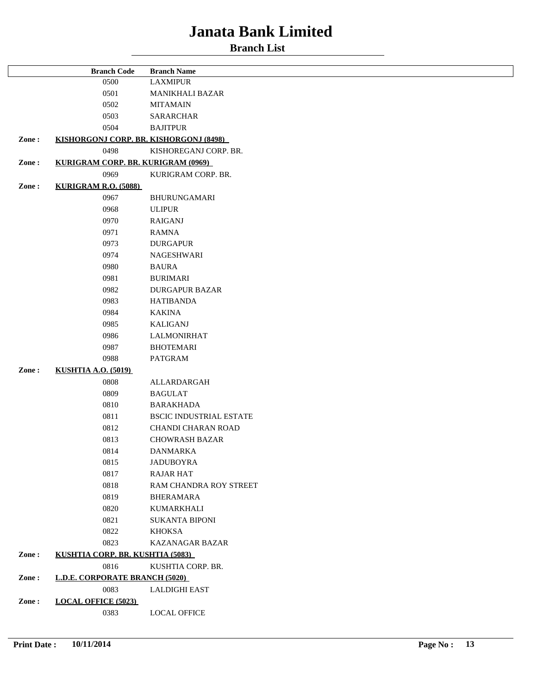|                                             | <b>Branch Code</b>                     | <b>Branch Name</b>             |
|---------------------------------------------|----------------------------------------|--------------------------------|
|                                             | 0500                                   | <b>LAXMIPUR</b>                |
|                                             | 0501                                   | <b>MANIKHALI BAZAR</b>         |
|                                             | 0502                                   | <b>MITAMAIN</b>                |
|                                             | 0503                                   | <b>SARARCHAR</b>               |
|                                             | 0504                                   | <b>BAJITPUR</b>                |
| Zone:                                       | KISHORGONJ CORP. BR. KISHORGONJ (8498) |                                |
|                                             | 0498                                   | KISHOREGANJ CORP. BR.          |
| KURIGRAM CORP. BR. KURIGRAM (0969)<br>Zone: |                                        |                                |
|                                             | 0969                                   | KURIGRAM CORP. BR.             |
| Zone:                                       | <b>KURIGRAM R.O. (5088)</b>            |                                |
|                                             | 0967                                   | BHURUNGAMARI                   |
|                                             | 0968                                   | <b>ULIPUR</b>                  |
|                                             | 0970                                   | <b>RAIGANJ</b>                 |
|                                             | 0971                                   | <b>RAMNA</b>                   |
|                                             | 0973                                   | <b>DURGAPUR</b>                |
|                                             | 0974                                   | NAGESHWARI                     |
|                                             | 0980                                   | <b>BAURA</b>                   |
|                                             | 0981                                   | <b>BURIMARI</b>                |
|                                             | 0982                                   | <b>DURGAPUR BAZAR</b>          |
|                                             | 0983                                   | <b>HATIBANDA</b>               |
|                                             | 0984                                   | <b>KAKINA</b>                  |
|                                             | 0985                                   | <b>KALIGANJ</b>                |
|                                             | 0986                                   | <b>LALMONIRHAT</b>             |
|                                             |                                        |                                |
|                                             | 0987<br>0988                           | <b>BHOTEMARI</b>               |
|                                             |                                        | <b>PATGRAM</b>                 |
| Zone:                                       | <b>KUSHTIA A.O. (5019)</b>             |                                |
|                                             | 0808                                   | ALLARDARGAH                    |
|                                             | 0809                                   | <b>BAGULAT</b>                 |
|                                             | 0810                                   | <b>BARAKHADA</b>               |
|                                             | 0811                                   | <b>BSCIC INDUSTRIAL ESTATE</b> |
|                                             | 0812                                   | CHANDI CHARAN ROAD             |
|                                             | 0813                                   | <b>CHOWRASH BAZAR</b>          |
|                                             | 0814                                   | <b>DANMARKA</b>                |
|                                             | 0815                                   | <b>JADUBOYRA</b>               |
|                                             | 0817                                   | <b>RAJAR HAT</b>               |
|                                             | 0818                                   | RAM CHANDRA ROY STREET         |
|                                             | 0819                                   | <b>BHERAMARA</b>               |
|                                             | 0820                                   | <b>KUMARKHALI</b>              |
|                                             | 0821                                   | <b>SUKANTA BIPONI</b>          |
|                                             | 0822                                   | <b>KHOKSA</b>                  |
|                                             | 0823                                   | <b>KAZANAGAR BAZAR</b>         |
| Zone:                                       | KUSHTIA CORP. BR. KUSHTIA (5083)       |                                |
|                                             | 0816                                   | KUSHTIA CORP. BR.              |
| Zone:                                       | <b>L.D.E. CORPORATE BRANCH (5020)</b>  |                                |
|                                             | 0083                                   | <b>LALDIGHI EAST</b>           |
| Zone:                                       | <b>LOCAL OFFICE (5023)</b>             |                                |
|                                             | 0383                                   | <b>LOCAL OFFICE</b>            |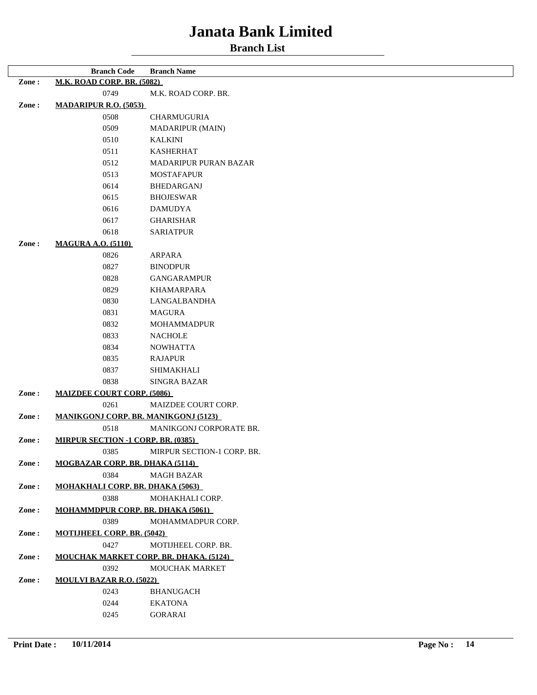|                          | <b>Branch Code</b>                          | <b>Branch Name</b>                            |  |  |
|--------------------------|---------------------------------------------|-----------------------------------------------|--|--|
| Zone:                    | <b>M.K. ROAD CORP. BR. (5082)</b>           |                                               |  |  |
|                          | 0749                                        | M.K. ROAD CORP. BR.                           |  |  |
| Zone:                    | <b>MADARIPUR R.O. (5053)</b>                |                                               |  |  |
|                          | 0508                                        | CHARMUGURIA                                   |  |  |
|                          | 0509                                        | MADARIPUR (MAIN)                              |  |  |
|                          | 0510                                        | <b>KALKINI</b>                                |  |  |
|                          | 0511                                        | <b>KASHERHAT</b>                              |  |  |
|                          | 0512                                        | <b>MADARIPUR PURAN BAZAR</b>                  |  |  |
|                          | 0513                                        | <b>MOSTAFAPUR</b>                             |  |  |
|                          | 0614                                        | <b>BHEDARGANJ</b>                             |  |  |
| 0615<br><b>BHOJESWAR</b> |                                             |                                               |  |  |
|                          | 0616                                        | <b>DAMUDYA</b>                                |  |  |
|                          | 0617                                        | <b>GHARISHAR</b>                              |  |  |
|                          | 0618                                        | <b>SARIATPUR</b>                              |  |  |
| Zone:                    | <b>MAGURA A.O. (5110)</b>                   |                                               |  |  |
|                          | 0826                                        | ARPARA                                        |  |  |
|                          | 0827                                        | <b>BINODPUR</b>                               |  |  |
|                          | 0828                                        | <b>GANGARAMPUR</b>                            |  |  |
|                          | 0829                                        | <b>KHAMARPARA</b>                             |  |  |
|                          | 0830                                        | LANGALBANDHA                                  |  |  |
|                          | 0831                                        | <b>MAGURA</b>                                 |  |  |
|                          | 0832                                        | <b>MOHAMMADPUR</b>                            |  |  |
|                          | 0833                                        | <b>NACHOLE</b>                                |  |  |
|                          | 0834                                        | <b>NOWHATTA</b>                               |  |  |
|                          | 0835                                        | <b>RAJAPUR</b>                                |  |  |
|                          | 0837                                        | <b>SHIMAKHALI</b>                             |  |  |
|                          | 0838                                        | <b>SINGRA BAZAR</b>                           |  |  |
| Zone:                    | <b>MAIZDEE COURT CORP. (5086)</b>           |                                               |  |  |
|                          | 0261                                        | MAIZDEE COURT CORP.                           |  |  |
| Zone:                    | <b>MANIKGONJ CORP. BR. MANIKGONJ (5123)</b> |                                               |  |  |
|                          | 0518                                        | MANIKGONJ CORPORATE BR.                       |  |  |
| Zone:                    | <b>MIRPUR SECTION -1 CORP. BR. (0385)</b>   |                                               |  |  |
|                          | 0385                                        | MIRPUR SECTION-1 CORP. BR.                    |  |  |
| Zone:                    | <b>MOGBAZAR CORP. BR. DHAKA (5114)</b>      |                                               |  |  |
|                          | 0384                                        | <b>MAGH BAZAR</b>                             |  |  |
| Zone:                    | <b>MOHAKHALI CORP. BR. DHAKA (5063)</b>     |                                               |  |  |
|                          | 0388                                        | MOHAKHALI CORP.                               |  |  |
| Zone:                    | <b>MOHAMMDPUR CORP. BR. DHAKA (5061)</b>    |                                               |  |  |
|                          | 0389                                        | MOHAMMADPUR CORP.                             |  |  |
| Zone:                    | <b>MOTIJHEEL CORP. BR. (5042)</b>           |                                               |  |  |
|                          | 0427                                        | MOTIJHEEL CORP. BR.                           |  |  |
| Zone:                    |                                             | <b>MOUCHAK MARKET CORP. BR. DHAKA. (5124)</b> |  |  |
|                          | 0392                                        | MOUCHAK MARKET                                |  |  |
| Zone:                    | <b>MOULVI BAZAR R.O. (5022)</b>             |                                               |  |  |
|                          | 0243                                        | <b>BHANUGACH</b>                              |  |  |
|                          | 0244                                        | <b>EKATONA</b>                                |  |  |
|                          | 0245                                        | <b>GORARAI</b>                                |  |  |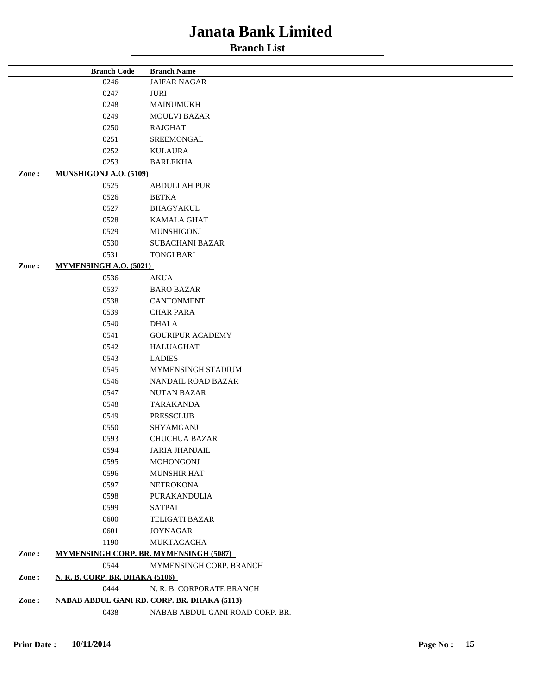|       | <b>Branch Code</b>              | <b>Branch Name</b>                                 |  |
|-------|---------------------------------|----------------------------------------------------|--|
|       | 0246                            | <b>JAIFAR NAGAR</b>                                |  |
|       | 0247                            | JURI                                               |  |
|       | 0248                            | <b>MAINUMUKH</b>                                   |  |
|       | 0249                            | <b>MOULVI BAZAR</b>                                |  |
|       | 0250                            | RAJGHAT                                            |  |
|       | 0251                            | SREEMONGAL                                         |  |
|       | 0252                            | KULAURA                                            |  |
|       | 0253                            | <b>BARLEKHA</b>                                    |  |
| Zone: | <b>MUNSHIGONJ A.O. (5109)</b>   |                                                    |  |
|       | 0525                            | <b>ABDULLAH PUR</b>                                |  |
|       | 0526                            | <b>BETKA</b>                                       |  |
|       | 0527                            | <b>BHAGYAKUL</b>                                   |  |
|       | 0528                            | <b>KAMALA GHAT</b>                                 |  |
|       | 0529                            | MUNSHIGONJ                                         |  |
|       | 0530                            | <b>SUBACHANI BAZAR</b>                             |  |
|       | 0531                            | <b>TONGI BARI</b>                                  |  |
| Zone: | <b>MYMENSINGH A.O. (5021)</b>   |                                                    |  |
|       | 0536                            | <b>AKUA</b>                                        |  |
|       | 0537                            | <b>BARO BAZAR</b>                                  |  |
|       | 0538                            | <b>CANTONMENT</b>                                  |  |
|       | 0539                            | <b>CHAR PARA</b>                                   |  |
|       | 0540                            | <b>DHALA</b>                                       |  |
|       | 0541                            | <b>GOURIPUR ACADEMY</b>                            |  |
|       | 0542                            | <b>HALUAGHAT</b>                                   |  |
|       | 0543                            | <b>LADIES</b>                                      |  |
|       | 0545                            | MYMENSINGH STADIUM                                 |  |
|       | 0546                            | NANDAIL ROAD BAZAR                                 |  |
|       | 0547                            | <b>NUTAN BAZAR</b>                                 |  |
|       | 0548                            | <b>TARAKANDA</b>                                   |  |
|       | 0549                            | PRESSCLUB                                          |  |
|       | 0550                            | SHYAMGANJ                                          |  |
|       | 0593                            | <b>CHUCHUA BAZAR</b>                               |  |
|       | 0594                            | <b>JARIA JHANJAIL</b>                              |  |
|       | 0595                            | <b>MOHONGONJ</b>                                   |  |
|       | 0596                            | MUNSHIR HAT                                        |  |
|       | 0597                            | <b>NETROKONA</b>                                   |  |
|       | 0598                            | PURAKANDULIA                                       |  |
|       | 0599                            | <b>SATPAI</b>                                      |  |
|       | 0600                            | <b>TELIGATI BAZAR</b>                              |  |
|       | 0601                            | <b>JOYNAGAR</b>                                    |  |
|       | 1190                            | MUKTAGACHA                                         |  |
| Zone: |                                 | <b>MYMENSINGH CORP. BR. MYMENSINGH (5087)</b>      |  |
|       | 0544                            | MYMENSINGH CORP. BRANCH                            |  |
| Zone: | N. R. B. CORP. BR. DHAKA (5106) |                                                    |  |
|       | 0444                            | N. R. B. CORPORATE BRANCH                          |  |
| Zone: |                                 | <b>NABAB ABDUL GANI RD. CORP. BR. DHAKA (5113)</b> |  |
|       | 0438                            | NABAB ABDUL GANI ROAD CORP. BR.                    |  |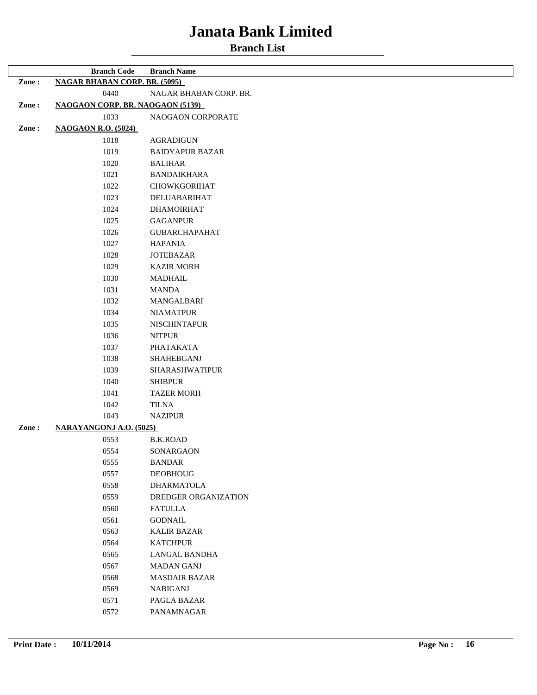|       | <b>Branch Code</b>                      | <b>Branch Name</b>     |  |
|-------|-----------------------------------------|------------------------|--|
| Zone: | <b>NAGAR BHABAN CORP. BR. (5095)</b>    |                        |  |
|       | 0440                                    | NAGAR BHABAN CORP. BR. |  |
| Zone: | <b>NAOGAON CORP. BR. NAOGAON (5139)</b> |                        |  |
|       | 1033                                    | NAOGAON CORPORATE      |  |
| Zone: | <b>NAOGAON R.O. (5024)</b>              |                        |  |
|       | 1018                                    | <b>AGRADIGUN</b>       |  |
|       | 1019                                    | <b>BAIDYAPUR BAZAR</b> |  |
|       | 1020                                    | <b>BALIHAR</b>         |  |
|       | 1021                                    | <b>BANDAIKHARA</b>     |  |
|       | 1022                                    | <b>CHOWKGORIHAT</b>    |  |
|       | 1023                                    | DELUABARIHAT           |  |
|       | 1024                                    | <b>DHAMOIRHAT</b>      |  |
|       | 1025                                    | <b>GAGANPUR</b>        |  |
|       | 1026                                    | <b>GUBARCHAPAHAT</b>   |  |
|       | 1027                                    | <b>HAPANIA</b>         |  |
|       | 1028                                    | <b>JOTEBAZAR</b>       |  |
|       | 1029                                    | <b>KAZIR MORH</b>      |  |
|       | 1030                                    | <b>MADHAIL</b>         |  |
|       | 1031                                    | <b>MANDA</b>           |  |
|       | 1032                                    | MANGALBARI             |  |
|       | 1034                                    | <b>NIAMATPUR</b>       |  |
|       | 1035                                    | <b>NISCHINTAPUR</b>    |  |
|       | 1036                                    | <b>NITPUR</b>          |  |
|       | 1037                                    | PHATAKATA              |  |
|       | 1038                                    | SHAHEBGANJ             |  |
|       | 1039                                    | SHARASHWATIPUR         |  |
|       | 1040                                    | <b>SHIBPUR</b>         |  |
|       | 1041                                    | <b>TAZER MORH</b>      |  |
|       | 1042                                    | TILNA                  |  |
|       | 1043                                    | <b>NAZIPUR</b>         |  |
| Zone: | <b>NARAYANGONJ A.O. (5025)</b>          |                        |  |
|       | 0553                                    | <b>B.K.ROAD</b>        |  |
|       | 0554                                    | SONARGAON              |  |
|       | 0555                                    | BANDAR                 |  |
|       | 0557                                    | <b>DEOBHOUG</b>        |  |
|       | 0558                                    | <b>DHARMATOLA</b>      |  |
|       | 0559                                    | DREDGER ORGANIZATION   |  |
|       | 0560                                    | <b>FATULLA</b>         |  |
|       | 0561                                    | <b>GODNAIL</b>         |  |
|       | 0563                                    | <b>KALIR BAZAR</b>     |  |
|       | 0564                                    | <b>KATCHPUR</b>        |  |
|       | 0565                                    | LANGAL BANDHA          |  |
|       | 0567                                    | <b>MADAN GANJ</b>      |  |
|       | 0568                                    | <b>MASDAIR BAZAR</b>   |  |
|       | 0569                                    | <b>NABIGANJ</b>        |  |
|       | 0571                                    | PAGLA BAZAR            |  |
|       | 0572                                    | PANAMNAGAR             |  |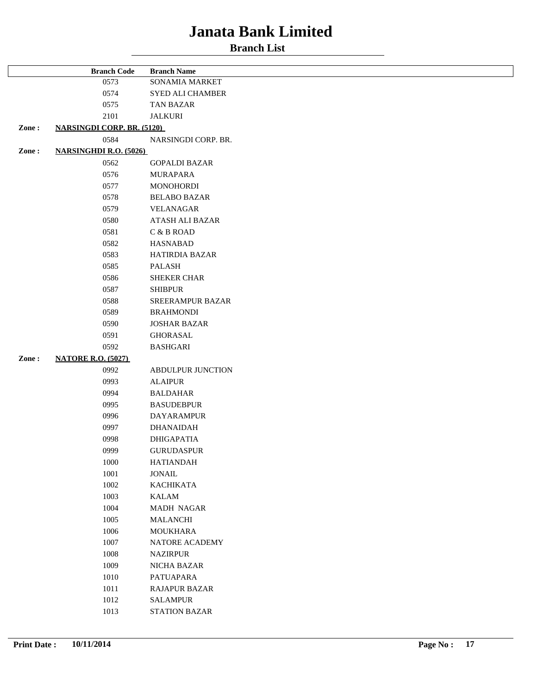|       | <b>Branch Code</b>                | <b>Branch Name</b>   |  |
|-------|-----------------------------------|----------------------|--|
|       | 0573                              | SONAMIA MARKET       |  |
|       | 0574                              | SYED ALI CHAMBER     |  |
|       | 0575                              | <b>TAN BAZAR</b>     |  |
|       | 2101                              | <b>JALKURI</b>       |  |
| Zone: | <b>NARSINGDI CORP. BR. (5120)</b> |                      |  |
|       | 0584                              | NARSINGDI CORP. BR.  |  |
| Zone: | <b>NARSINGHDI R.O. (5026)</b>     |                      |  |
|       | 0562                              | <b>GOPALDI BAZAR</b> |  |
|       | 0576                              | <b>MURAPARA</b>      |  |
|       | 0577                              | <b>MONOHORDI</b>     |  |
|       |                                   |                      |  |
|       | 0578                              | <b>BELABO BAZAR</b>  |  |
|       | 0579                              | VELANAGAR            |  |
|       | 0580                              | ATASH ALI BAZAR      |  |
|       | 0581                              | C & B ROAD           |  |
|       | 0582                              | <b>HASNABAD</b>      |  |
|       | 0583                              | HATIRDIA BAZAR       |  |
|       | 0585                              | PALASH               |  |
|       | 0586                              | <b>SHEKER CHAR</b>   |  |
|       | 0587                              | <b>SHIBPUR</b>       |  |
|       | 0588                              | SREERAMPUR BAZAR     |  |
|       | 0589                              | <b>BRAHMONDI</b>     |  |
|       | 0590                              | <b>JOSHAR BAZAR</b>  |  |
|       | 0591                              | <b>GHORASAL</b>      |  |
|       | 0592                              | <b>BASHGARI</b>      |  |
| Zone: | <b>NATORE R.O. (5027)</b>         |                      |  |
|       | 0992                              | ABDULPUR JUNCTION    |  |
|       | 0993                              | <b>ALAIPUR</b>       |  |
|       | 0994                              | <b>BALDAHAR</b>      |  |
|       | 0995                              | <b>BASUDEBPUR</b>    |  |
|       | 0996                              | <b>DAYARAMPUR</b>    |  |
|       | 0997                              | <b>DHANAIDAH</b>     |  |
|       | 0998                              | <b>DHIGAPATIA</b>    |  |
|       | 0999                              | <b>GURUDASPUR</b>    |  |
|       | 1000                              | <b>HATIANDAH</b>     |  |
|       | 1001                              | <b>JONAIL</b>        |  |
|       | 1002                              | <b>KACHIKATA</b>     |  |
|       | 1003                              | <b>KALAM</b>         |  |
|       | 1004                              | <b>MADH NAGAR</b>    |  |
|       | 1005                              | <b>MALANCHI</b>      |  |
|       | 1006                              | <b>MOUKHARA</b>      |  |
|       | 1007                              | NATORE ACADEMY       |  |
|       | 1008                              | <b>NAZIRPUR</b>      |  |
|       |                                   |                      |  |
|       | 1009                              | NICHA BAZAR          |  |
|       | 1010                              | PATUAPARA            |  |
|       | 1011                              | <b>RAJAPUR BAZAR</b> |  |
|       | 1012                              | <b>SALAMPUR</b>      |  |
|       | 1013                              | <b>STATION BAZAR</b> |  |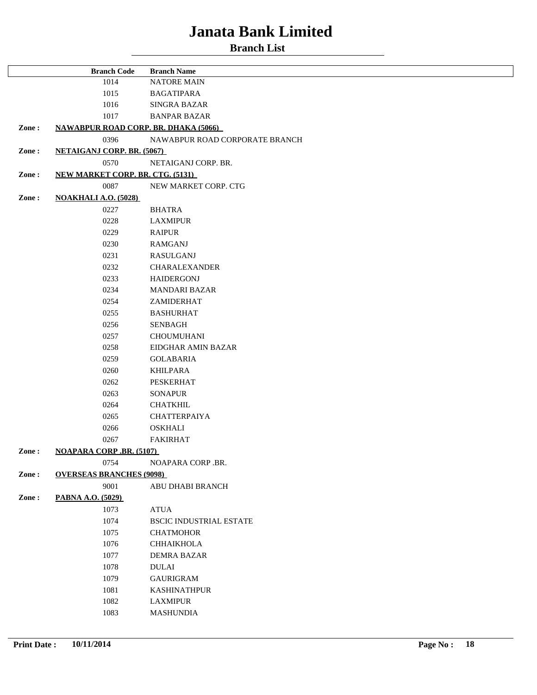**Branch List**

|              | <b>Branch Code</b>                          | <b>Branch Name</b>             |  |
|--------------|---------------------------------------------|--------------------------------|--|
|              | 1014                                        | <b>NATORE MAIN</b>             |  |
|              | 1015                                        | <b>BAGATIPARA</b>              |  |
|              | 1016                                        | <b>SINGRA BAZAR</b>            |  |
|              | 1017                                        | <b>BANPAR BAZAR</b>            |  |
| Zone:        | <b>NAWABPUR ROAD CORP. BR. DHAKA (5066)</b> |                                |  |
|              | 0396                                        | NAWABPUR ROAD CORPORATE BRANCH |  |
| Zone:        | <b>NETAIGANJ CORP. BR. (5067)</b>           |                                |  |
|              | 0570<br>NETAIGANJ CORP. BR.                 |                                |  |
| Zone:        | <b>NEW MARKET CORP. BR. CTG. (5131)</b>     |                                |  |
|              | 0087                                        | NEW MARKET CORP. CTG           |  |
| Zone:        | <b>NOAKHALI A.O. (5028)</b>                 |                                |  |
|              | 0227                                        | <b>BHATRA</b>                  |  |
|              | 0228                                        | <b>LAXMIPUR</b>                |  |
|              | 0229                                        | <b>RAIPUR</b>                  |  |
|              | 0230                                        | <b>RAMGANJ</b>                 |  |
|              | 0231                                        | <b>RASULGANJ</b>               |  |
|              | 0232                                        | <b>CHARALEXANDER</b>           |  |
|              | 0233                                        | <b>HAIDERGONJ</b>              |  |
|              | 0234                                        | <b>MANDARI BAZAR</b>           |  |
|              | 0254                                        | ZAMIDERHAT                     |  |
|              | 0255                                        | <b>BASHURHAT</b>               |  |
|              | 0256                                        | <b>SENBAGH</b>                 |  |
|              | 0257                                        | <b>CHOUMUHANI</b>              |  |
| 0258<br>0259 |                                             | EIDGHAR AMIN BAZAR             |  |
|              |                                             | <b>GOLABARIA</b>               |  |
|              | 0260                                        | <b>KHILPARA</b>                |  |
|              | 0262                                        | PESKERHAT                      |  |
|              | 0263                                        | <b>SONAPUR</b>                 |  |
|              | 0264                                        | <b>CHATKHIL</b>                |  |
|              | 0265                                        | <b>CHATTERPAIYA</b>            |  |
|              | 0266                                        | <b>OSKHALI</b>                 |  |
|              | 0267                                        | <b>FAKIRHAT</b>                |  |
| Zone:        | <b>NOAPARA CORP.BR. (5107)</b>              |                                |  |
|              | 0754                                        | NOAPARA CORP .BR.              |  |
| Zone:        | <b>OVERSEAS BRANCHES (9098)</b>             |                                |  |
|              | 9001                                        | ABU DHABI BRANCH               |  |
| Zone:        | PABNA A.O. (5029)                           |                                |  |
|              | 1073                                        | <b>ATUA</b>                    |  |
|              | 1074                                        | <b>BSCIC INDUSTRIAL ESTATE</b> |  |
|              | 1075                                        | <b>CHATMOHOR</b>               |  |
|              | 1076                                        | <b>CHHAIKHOLA</b>              |  |
|              | 1077                                        | <b>DEMRA BAZAR</b>             |  |
|              | 1078                                        | <b>DULAI</b>                   |  |
|              | 1079                                        | <b>GAURIGRAM</b>               |  |
|              | 1081                                        | <b>KASHINATHPUR</b>            |  |
|              | 1082                                        | <b>LAXMIPUR</b>                |  |
|              | 1083                                        | <b>MASHUNDIA</b>               |  |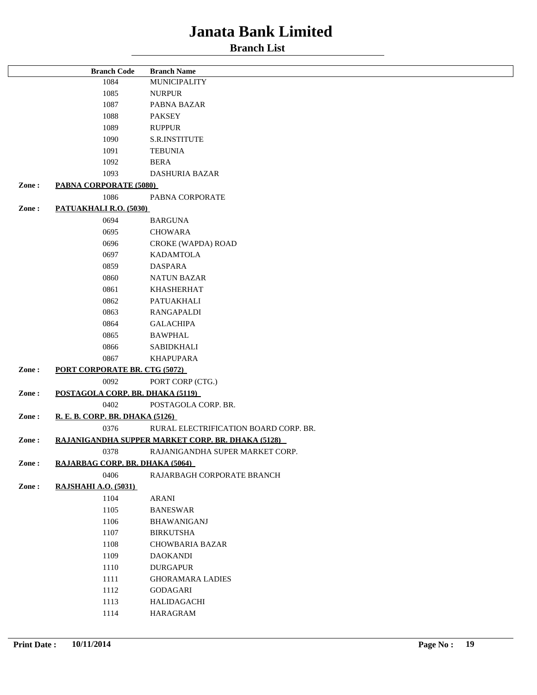|                                                            | <b>Branch Code</b>                   | <b>Branch Name</b>              |  |
|------------------------------------------------------------|--------------------------------------|---------------------------------|--|
|                                                            | 1084                                 | MUNICIPALITY                    |  |
|                                                            | 1085                                 | <b>NURPUR</b>                   |  |
|                                                            | 1087                                 | PABNA BAZAR                     |  |
|                                                            | 1088                                 | <b>PAKSEY</b>                   |  |
|                                                            | 1089                                 | <b>RUPPUR</b>                   |  |
|                                                            | 1090                                 | S.R.INSTITUTE                   |  |
|                                                            | 1091                                 | <b>TEBUNIA</b>                  |  |
|                                                            | 1092                                 | <b>BERA</b>                     |  |
|                                                            | 1093                                 | <b>DASHURIA BAZAR</b>           |  |
| Zone:                                                      | <b>PABNA CORPORATE (5080)</b>        |                                 |  |
|                                                            | 1086                                 | PABNA CORPORATE                 |  |
| Zone:                                                      | PATUAKHALI R.O. (5030)               |                                 |  |
|                                                            | 0694                                 | <b>BARGUNA</b>                  |  |
|                                                            | 0695                                 | <b>CHOWARA</b>                  |  |
|                                                            | 0696                                 | CROKE (WAPDA) ROAD              |  |
|                                                            | 0697                                 | <b>KADAMTOLA</b>                |  |
|                                                            | 0859                                 | <b>DASPARA</b>                  |  |
|                                                            | 0860                                 | <b>NATUN BAZAR</b>              |  |
|                                                            | 0861                                 | <b>KHASHERHAT</b>               |  |
|                                                            | 0862                                 | PATUAKHALI                      |  |
|                                                            | 0863                                 | <b>RANGAPALDI</b>               |  |
|                                                            | 0864                                 | <b>GALACHIPA</b>                |  |
|                                                            | 0865                                 | <b>BAWPHAL</b>                  |  |
|                                                            | 0866                                 | <b>SABIDKHALI</b>               |  |
|                                                            | 0867                                 | <b>KHAPUPARA</b>                |  |
| Zone:                                                      | <b>PORT CORPORATE BR. CTG (5072)</b> |                                 |  |
|                                                            | 0092                                 | PORT CORP (CTG.)                |  |
| Zone:                                                      | POSTAGOLA CORP. BR. DHAKA (5119)     |                                 |  |
|                                                            | 0402                                 | POSTAGOLA CORP. BR.             |  |
| Zone:                                                      | R. E. B. CORP. BR. DHAKA (5126)      |                                 |  |
| 0376<br>RURAL ELECTRIFICATION BOARD CORP. BR.              |                                      |                                 |  |
| RAJANIGANDHA SUPPER MARKET CORP. BR. DHAKA (5128)<br>Zone: |                                      |                                 |  |
|                                                            | 0378                                 | RAJANIGANDHA SUPER MARKET CORP. |  |
| Zone:                                                      | RAJARBAG CORP. BR. DHAKA (5064)      |                                 |  |
|                                                            | 0406                                 | RAJARBAGH CORPORATE BRANCH      |  |
| Zone:                                                      | <b>RAJSHAHI A.O. (5031)</b>          |                                 |  |
|                                                            | 1104                                 | ARANI                           |  |
|                                                            | 1105                                 | <b>BANESWAR</b>                 |  |
|                                                            | 1106                                 | <b>BHAWANIGANJ</b>              |  |
|                                                            | 1107                                 | <b>BIRKUTSHA</b>                |  |
|                                                            | 1108                                 | <b>CHOWBARIA BAZAR</b>          |  |
|                                                            | 1109                                 | <b>DAOKANDI</b>                 |  |
|                                                            | 1110                                 | <b>DURGAPUR</b>                 |  |
|                                                            | 1111                                 | <b>GHORAMARA LADIES</b>         |  |
|                                                            | 1112                                 | <b>GODAGARI</b>                 |  |
|                                                            | 1113                                 | HALIDAGACHI                     |  |
|                                                            | 1114                                 | HARAGRAM                        |  |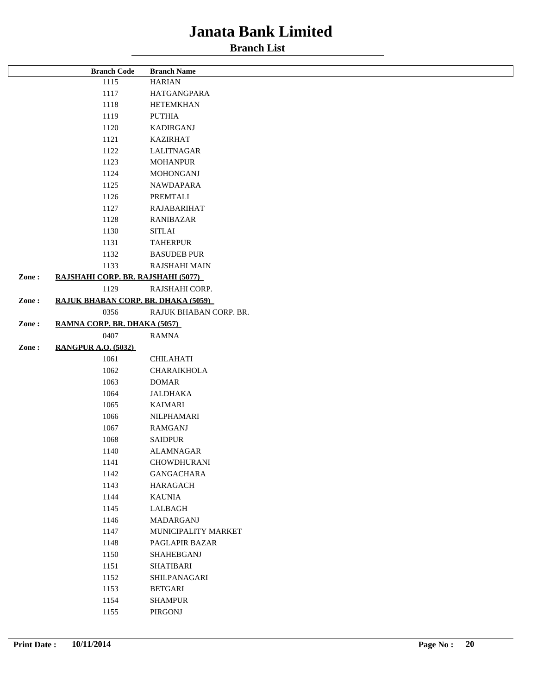|       | <b>Branch Code</b>                  | <b>Branch Name</b>     |  |
|-------|-------------------------------------|------------------------|--|
|       | 1115                                | <b>HARIAN</b>          |  |
| 1117  |                                     | HATGANGPARA            |  |
| 1118  |                                     | <b>HETEMKHAN</b>       |  |
|       | 1119                                | <b>PUTHIA</b>          |  |
| 1120  |                                     | <b>KADIRGANJ</b>       |  |
| 1121  |                                     | <b>KAZIRHAT</b>        |  |
| 1122  |                                     | <b>LALITNAGAR</b>      |  |
| 1123  |                                     | <b>MOHANPUR</b>        |  |
|       | 1124                                | <b>MOHONGANJ</b>       |  |
|       | 1125                                | <b>NAWDAPARA</b>       |  |
|       | 1126                                | PREMTALI               |  |
|       | 1127                                | RAJABARIHAT            |  |
|       | 1128                                | <b>RANIBAZAR</b>       |  |
|       | 1130                                | <b>SITLAI</b>          |  |
|       | 1131                                | <b>TAHERPUR</b>        |  |
|       | 1132                                | <b>BASUDEB PUR</b>     |  |
|       | 1133                                | RAJSHAHI MAIN          |  |
| Zone: | RAJSHAHI CORP. BR. RAJSHAHI (5077)  |                        |  |
|       | 1129                                | RAJSHAHI CORP.         |  |
| Zone: | RAJUK BHABAN CORP. BR. DHAKA (5059) |                        |  |
|       | 0356                                | RAJUK BHABAN CORP. BR. |  |
| Zone: | RAMNA CORP. BR. DHAKA (5057)        |                        |  |
|       | 0407                                | <b>RAMNA</b>           |  |
| Zone: | <b>RANGPUR A.O. (5032)</b>          |                        |  |
|       | 1061                                | <b>CHILAHATI</b>       |  |
|       | 1062                                | CHARAIKHOLA            |  |
|       | 1063                                | <b>DOMAR</b>           |  |
|       | 1064                                | <b>JALDHAKA</b>        |  |
|       | 1065                                | <b>KAIMARI</b>         |  |
|       | 1066                                | NILPHAMARI             |  |
|       | 1067                                | <b>RAMGANJ</b>         |  |
|       | 1068                                | <b>SAIDPUR</b>         |  |
|       | 1140                                | <b>ALAMNAGAR</b>       |  |
|       | 1141                                | CHOWDHURANI            |  |
|       | 1142                                | <b>GANGACHARA</b>      |  |
|       | 1143                                | <b>HARAGACH</b>        |  |
|       | 1144                                | <b>KAUNIA</b>          |  |
|       | 1145                                | LALBAGH                |  |
|       | 1146                                | MADARGANJ              |  |
|       | 1147                                | MUNICIPALITY MARKET    |  |
|       | 1148                                | PAGLAPIR BAZAR         |  |
|       | 1150                                | SHAHEBGANJ             |  |
|       | 1151                                | <b>SHATIBARI</b>       |  |
|       | 1152                                | SHILPANAGARI           |  |
|       | 1153                                | BETGARI                |  |
|       | 1154                                | <b>SHAMPUR</b>         |  |
|       | 1155                                | PIRGONJ                |  |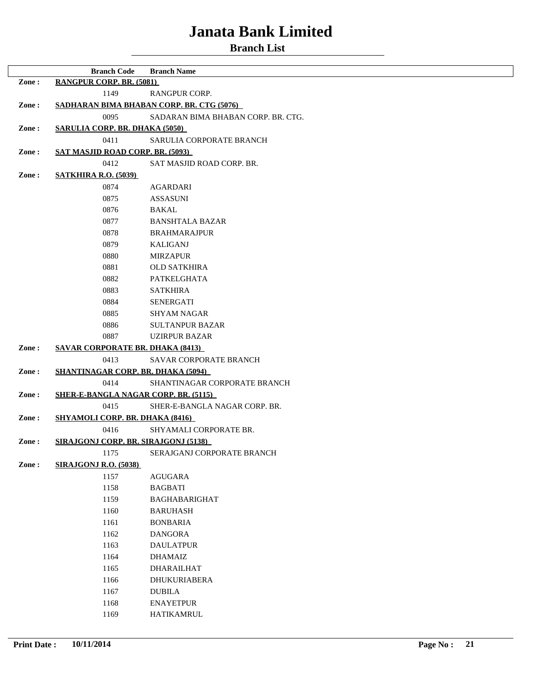|                                                                                            | <b>Branch Code</b>                               | <b>Branch Name</b>         |
|--------------------------------------------------------------------------------------------|--------------------------------------------------|----------------------------|
| Zone:                                                                                      | RANGPUR CORP. BR. (5081)                         |                            |
|                                                                                            | 1149<br><b>RANGPUR CORP.</b>                     |                            |
| Zone:                                                                                      | <u>SADHARAN BIMA BHABAN CORP. BR. CTG (5076)</u> |                            |
| 0095<br>SADARAN BIMA BHABAN CORP. BR. CTG.                                                 |                                                  |                            |
| Zone:                                                                                      | <b>SARULIA CORP. BR. DHAKA (5050)</b>            |                            |
|                                                                                            | 0411                                             | SARULIA CORPORATE BRANCH   |
| Zone:                                                                                      | <b>SAT MASJID ROAD CORP. BR. (5093)</b>          |                            |
|                                                                                            | 0412                                             | SAT MASJID ROAD CORP. BR.  |
| Zone:                                                                                      | <b>SATKHIRA R.O. (5039)</b>                      |                            |
|                                                                                            | 0874                                             | <b>AGARDARI</b>            |
|                                                                                            | 0875                                             | <b>ASSASUNI</b>            |
|                                                                                            | 0876                                             | <b>BAKAL</b>               |
|                                                                                            | 0877                                             | <b>BANSHTALA BAZAR</b>     |
|                                                                                            | 0878                                             | <b>BRAHMARAJPUR</b>        |
|                                                                                            | 0879                                             | <b>KALIGANJ</b>            |
|                                                                                            | 0880                                             | <b>MIRZAPUR</b>            |
|                                                                                            | 0881                                             | <b>OLD SATKHIRA</b>        |
|                                                                                            | 0882                                             | <b>PATKELGHATA</b>         |
|                                                                                            | 0883                                             | <b>SATKHIRA</b>            |
|                                                                                            | 0884                                             | <b>SENERGATI</b>           |
|                                                                                            | 0885                                             | <b>SHYAM NAGAR</b>         |
|                                                                                            | 0886                                             | <b>SULTANPUR BAZAR</b>     |
|                                                                                            | 0887                                             | <b>UZIRPUR BAZAR</b>       |
| Zone:                                                                                      | <b>SAVAR CORPORATE BR. DHAKA (8413)</b>          |                            |
|                                                                                            | 0413                                             | SAVAR CORPORATE BRANCH     |
| <b>SHANTINAGAR CORP. BR. DHAKA (5094)</b><br>Zone:<br>0414<br>SHANTINAGAR CORPORATE BRANCH |                                                  |                            |
|                                                                                            |                                                  |                            |
| Zone:                                                                                      | <b>SHER-E-BANGLA NAGAR CORP. BR. (5115)</b>      |                            |
| 0415<br>SHER-E-BANGLA NAGAR CORP. BR.                                                      |                                                  |                            |
| <b>SHYAMOLI CORP. BR. DHAKA (8416)</b><br>Zone:<br>0416<br>SHYAMALI CORPORATE BR.          |                                                  |                            |
|                                                                                            |                                                  |                            |
| Zone:                                                                                      | <b>SIRAJGONJ CORP. BR. SIRAJGONJ (5138)</b>      |                            |
|                                                                                            | 1175                                             | SERAJGANJ CORPORATE BRANCH |
| Zone:                                                                                      | <b>SIRAJGONJ R.O. (5038)</b>                     |                            |
|                                                                                            | 1157                                             | <b>AGUGARA</b>             |
|                                                                                            | 1158                                             | <b>BAGBATI</b>             |
|                                                                                            | 1159                                             | <b>BAGHABARIGHAT</b>       |
|                                                                                            | 1160                                             | <b>BARUHASH</b>            |
|                                                                                            | 1161                                             | <b>BONBARIA</b>            |
|                                                                                            | 1162                                             | <b>DANGORA</b>             |
|                                                                                            | 1163                                             | <b>DAULATPUR</b>           |
|                                                                                            | 1164                                             | <b>DHAMAIZ</b>             |
|                                                                                            | 1165                                             | <b>DHARAILHAT</b>          |
|                                                                                            | 1166                                             | DHUKURIABERA               |
|                                                                                            | 1167                                             | <b>DUBILA</b>              |
|                                                                                            | 1168                                             | <b>ENAYETPUR</b>           |
|                                                                                            | 1169                                             | <b>HATIKAMRUL</b>          |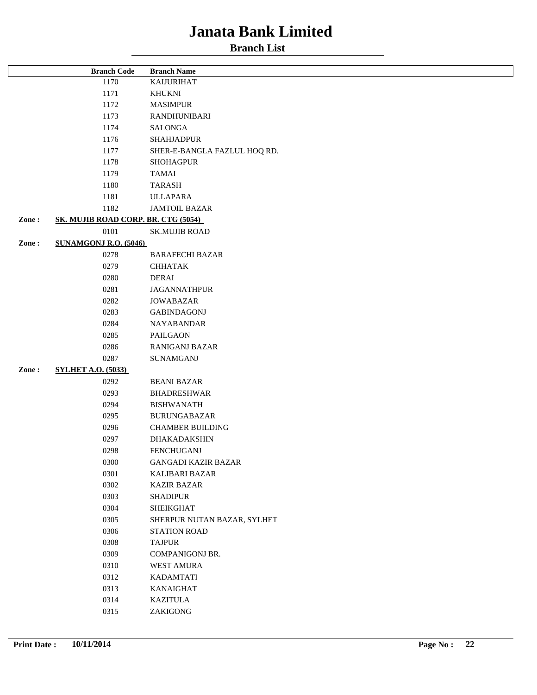| <b>Branch Code</b> |                                     | <b>Branch Name</b>           |  |
|--------------------|-------------------------------------|------------------------------|--|
|                    | 1170                                | <b>KAIJURIHAT</b>            |  |
|                    | 1171                                | <b>KHUKNI</b>                |  |
| 1172               |                                     | <b>MASIMPUR</b>              |  |
| 1173               |                                     | RANDHUNIBARI                 |  |
|                    | 1174                                | SALONGA                      |  |
|                    | 1176                                | <b>SHAHJADPUR</b>            |  |
|                    | 1177                                | SHER-E-BANGLA FAZLUL HOQ RD. |  |
|                    | 1178                                | <b>SHOHAGPUR</b>             |  |
|                    | 1179                                | <b>TAMAI</b>                 |  |
|                    | 1180                                | <b>TARASH</b>                |  |
|                    | 1181                                | <b>ULLAPARA</b>              |  |
|                    | 1182                                | <b>JAMTOIL BAZAR</b>         |  |
| Zone:              | SK. MUJIB ROAD CORP. BR. CTG (5054) |                              |  |
|                    | 0101                                | <b>SK.MUJIB ROAD</b>         |  |
| Zone:              | <b>SUNAMGONJ R.O. (5046)</b>        |                              |  |
|                    | 0278                                | <b>BARAFECHI BAZAR</b>       |  |
|                    | 0279                                | <b>CHHATAK</b>               |  |
|                    | 0280                                | <b>DERAI</b>                 |  |
|                    | 0281                                | <b>JAGANNATHPUR</b>          |  |
|                    | 0282                                | <b>JOWABAZAR</b>             |  |
|                    | 0283                                | <b>GABINDAGONJ</b>           |  |
|                    | 0284                                | NAYABANDAR                   |  |
|                    | 0285                                | PAILGAON                     |  |
|                    | 0286                                | RANIGANJ BAZAR               |  |
|                    | 0287                                | SUNAMGANJ                    |  |
| Zone:              | <b>SYLHET A.O. (5033)</b>           |                              |  |
|                    | 0292                                | <b>BEANI BAZAR</b>           |  |
|                    | 0293                                | <b>BHADRESHWAR</b>           |  |
|                    | 0294                                | <b>BISHWANATH</b>            |  |
|                    | 0295                                | <b>BURUNGABAZAR</b>          |  |
|                    | 0296                                | <b>CHAMBER BUILDING</b>      |  |
|                    | 0297                                | DHAKADAKSHIN                 |  |
|                    | 0298                                | <b>FENCHUGANJ</b>            |  |
|                    | 0300                                | <b>GANGADI KAZIR BAZAR</b>   |  |
|                    | 0301                                | KALIBARI BAZAR               |  |
|                    | 0302                                | <b>KAZIR BAZAR</b>           |  |
|                    | 0303                                | <b>SHADIPUR</b>              |  |
|                    | 0304                                | <b>SHEIKGHAT</b>             |  |
|                    | 0305                                | SHERPUR NUTAN BAZAR, SYLHET  |  |
|                    | 0306                                | <b>STATION ROAD</b>          |  |
|                    | 0308                                | <b>TAJPUR</b>                |  |
|                    | 0309                                | <b>COMPANIGONJ BR.</b>       |  |
|                    | 0310                                | WEST AMURA                   |  |
|                    | 0312                                | <b>KADAMTATI</b>             |  |
|                    | 0313                                | <b>KANAIGHAT</b>             |  |
|                    | 0314                                | <b>KAZITULA</b>              |  |
|                    | 0315                                | ZAKIGONG                     |  |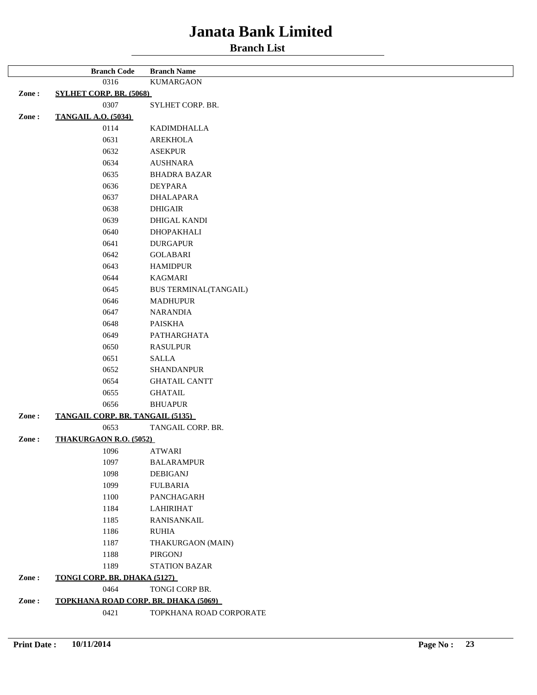#### **Branch List**

|       | <b>Branch Code</b>                      | <b>Branch Name</b>           |
|-------|-----------------------------------------|------------------------------|
|       | 0316                                    | <b>KUMARGAON</b>             |
| Zone: | <b>SYLHET CORP. BR. (5068)</b>          |                              |
|       | 0307                                    | SYLHET CORP. BR.             |
| Zone: | <b>TANGAIL A.O. (5034)</b>              |                              |
|       | 0114                                    | KADIMDHALLA                  |
|       | 0631                                    | <b>AREKHOLA</b>              |
|       | 0632                                    | <b>ASEKPUR</b>               |
|       | 0634                                    | <b>AUSHNARA</b>              |
|       | 0635                                    | <b>BHADRA BAZAR</b>          |
|       | 0636                                    | DEYPARA                      |
|       | 0637                                    | <b>DHALAPARA</b>             |
|       | 0638                                    | <b>DHIGAIR</b>               |
|       | 0639                                    | <b>DHIGAL KANDI</b>          |
|       |                                         |                              |
|       | 0640                                    | DHOPAKHALI                   |
|       | 0641                                    | <b>DURGAPUR</b>              |
|       | 0642                                    | <b>GOLABARI</b>              |
|       | 0643                                    | <b>HAMIDPUR</b>              |
|       | 0644                                    | KAGMARI                      |
|       | 0645                                    | <b>BUS TERMINAL(TANGAIL)</b> |
|       | 0646                                    | <b>MADHUPUR</b>              |
|       | 0647                                    | <b>NARANDIA</b>              |
|       | 0648                                    | <b>PAISKHA</b>               |
|       | 0649                                    | PATHARGHATA                  |
|       | 0650                                    | <b>RASULPUR</b>              |
|       | 0651                                    | <b>SALLA</b>                 |
|       | 0652                                    | <b>SHANDANPUR</b>            |
|       | 0654                                    | <b>GHATAIL CANTT</b>         |
|       | 0655                                    | <b>GHATAIL</b>               |
|       | 0656                                    | <b>BHUAPUR</b>               |
| Zone: | <b>TANGAIL CORP. BR. TANGAIL (5135)</b> |                              |
|       | 0653                                    | TANGAIL CORP. BR.            |
| Zone: | <b>THAKURGAON R.O. (5052)</b>           |                              |
|       | 1096                                    | ATWARI                       |
|       | 1097                                    | <b>BALARAMPUR</b>            |
|       | 1098                                    | <b>DEBIGANJ</b>              |
|       | 1099                                    | <b>FULBARIA</b>              |
|       | 1100                                    | PANCHAGARH                   |
|       | 1184                                    | <b>LAHIRIHAT</b>             |
|       | 1185                                    | RANISANKAIL                  |
|       | 1186                                    | <b>RUHIA</b>                 |
|       | 1187                                    | THAKURGAON (MAIN)            |
|       | 1188                                    | PIRGONJ                      |
|       | 1189                                    | <b>STATION BAZAR</b>         |
| Zone: | TONGI CORP. BR. DHAKA (5127)            |                              |
|       | 0464                                    | TONGI CORP BR.               |
| Zone: | TOPKHANA ROAD CORP. BR. DHAKA (5069)    |                              |
|       | 0421                                    | TOPKHANA ROAD CORPORATE      |
|       |                                         |                              |

 $\overline{r}$